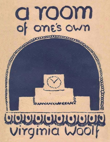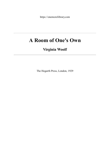https://onemorelibrary.com

## **A Room of One's Own**

## **Virginia Woolf**

The Hogarth Press, London, 1929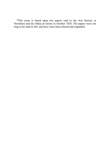\*This essay is based upon two papers read to the Arts Society at Newnharn and the Odtaa at Girton in October 1928. The papers were too long to be read in full, and have since been altered and expanded.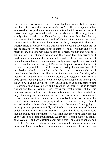But, you may say, we asked you to speak about women and fiction—what, has that got to do with a room of one's own? I will try to explain. When you asked me to speak about women and fiction I sat down on the banks of a river and began to wonder what the words meant. They might mean simply a few remarks about Fanny Burney; a few more about Jane Austen; a tribute to the Brontës and a sketch of Haworth Parsonage under snow; some witticisms if possible about Miss Mitford; a respectful allusion to George Eliot; a reference to Mrs Gaskell and one would have done. But at second sight the words seemed not so simple. The title women and fiction might mean, and you may have meant it to mean, women and what they are like, or it might mean women and the fiction that they write; or it might mean women and the fiction that is written about them, or it might mean that somehow all three are inextricably mixed together and you want me to consider them in that light. But when I began to consider the subject in this last way, which seemed the most interesting, I soon saw that it had one fatal drawback. I should never be able to come to a conclusion. I should never be able to fulfil what is, I understand, the first duty of a lecturer to hand you after an hour's discourse a nugget of pure truth to wrap up between the pages of your notebooks and keep on the mantelpiece for ever. All I could do was to offer you an opinion upon one minor point —a woman must have money and a room of her own if she is to write fiction; and that, as you will see, leaves the great problem of the true nature of woman and the true nature of fiction unsolved. I have shirked the duty of coming to a conclusion upon these two questions—women and fiction remain, so far as I am concerned, unsolved problems. But in order to make some amends I am going to do what I can to show you how I arrived at this opinion about the room and the money. I am going to develop in your presence as fully and freely as I can the train of thought which led me to think this. Perhaps if I lay bare the ideas, the prejudices, that lie behind this statement you will find that they have some bearing upon women and some upon fiction. At any rate, when a subject is highly controversial—and any question about sex is that—one cannot hope to tell the truth. One can only show how one came to hold whatever opinion one does hold. One can only give one's audience the chance of drawing their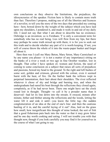own conclusions as they observe the limitations, the prejudices, the idiosyncrasies of the speaker. Fiction here is likely to contain more truth than fact. Therefore I propose, making use of all the liberties and licences of a novelist, to tell you the story of the two days that preceded my coming here—how, bowed down by the weight of the subject which you have laid upon my shoulders, I pondered it, and made it work in and out of my daily life. I need not say that what I am about to describe has no existence; Oxbridge is an invention; so is Fernham; 'I' is only a convenient term for somebody who has no real being. Lies will flow from my lips, but there may perhaps be some truth mixed up with them; it is for you to seek out this truth and to decide whether any part of it is worth keeping. If not, you will of course throw the whole of it into the waste-paper basket and forget all about it.

Here then was I (call me Mary Beton, Mary Seton, Mary Carmichael or by any name you please—it is not a matter of any importance) sitting on the banks of a river a week or two ago in fine October weather, lost in thought. That collar I have spoken of, women and fiction, the need of coming to some conclusion on a subject that raises all sorts of prejudices and passions, bowed my head to the ground. To the right and left bushes of some sort, golden and crimson, glowed with the colour, even it seemed burnt with the heat, of fire. On the further bank the willows wept in perpetual lamentation, their hair about their shoulders. The river reflected whatever it chose of sky and bridge and burning tree, and when the undergraduate had oared his boat through the reflections they closed again, completely, as if he had never been. There one might have sat the clock round lost in thought. Thought—to call it by a prouder name than it deserved—had let its line down into the stream. It swayed, minute after minute, hither and thither among the reflections and the weeds, letting the water lift it and sink it until—you know the little tug—the sudden conglomeration of an idea at the end of one's line: and then the cautious hauling of it in, and the careful laying of it out? Alas, laid on the grass how small, how insignificant this thought of mine looked; the sort of fish that a good fisherman puts back into the water so that it may grow fatter and be one day worth cooking and eating. I will not trouble you with that thought now, though if you look carefully you may find it for yourselves in the course of what I am going to say.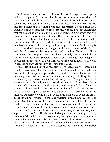But however small it was, it had, nevertheless, the mysterious property of its kind—put back into the mind, it became at once very exciting, and important; and as it darted and sank, and flashed hither and thither, set up such a wash and tumult of ideas that it was impossible to sit still. It was thus that I found myself walking with extreme rapidity across a grass plot. Instantly a man's figure rose to intercept me. Nor did I at first understand that the gesticulations of a curious-looking object, in a cut-away coat and evening shirt, were aimed at me. His face expressed horror and indignation. Instinct rather than reason came to my help, he was a Beadle; I was a woman. This was the turf; there was the path. Only the Fellows and Scholars are allowed here; the gravel is the place for me. Such thoughts were the work of a moment. As I regained the path the arms of the Beadle sank, his face assumed its usual repose, and though turf is better walking than gravel, no very great harm was done. The only charge I could bring against the Fellows and Scholars of whatever the college might happen to be was that in protection of their turf, which has been rolled for 300 years in succession they had sent my little fish into hiding.

What idea it had been that had sent me so audaciously trespassing I could not now remember. The spirit of peace descended like a cloud from heaven, for if the spirit of peace dwells anywhere, it is in the courts and quadrangles of Oxbridge on a fine October morning. Strolling through those colleges past those ancient halls the roughness of the present seemed smoothed away; the body seemed contained in a miraculous glass cabinet through which no sound could penetrate, and the mind, freed from any contact with facts (unless one trespassed on the turf again), was at liberty to settle down upon whatever meditation was in harmony with the moment. As chance would have it, some stray memory of some old essay about revisiting Oxbridge in the long vacation brought Charles Lamb to mind—Saint Charles, said Thackeray, putting a letter of Lamb's to his forehead. Indeed, among all the dead (I give you my thoughts as they came to me), Lamb is one of the most congenial; one to whom one would have liked to say, Tell me then how you wrote your essays? For his essays are superior even to Max Beerbohm's, I thought, with all their perfection, because of that wild flash of imagination, that lightning crack of genius in the middle of them which leaves them flawed and imperfect, but starred with poetry. Lamb then came to Oxbridge perhaps a hundred years ago. Certainly he wrote an essay—the name escapes me—about the manuscript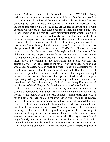of one of Milton's poems which he saw here. It was LYCIDAS perhaps, and Lamb wrote how it shocked him to think it possible that any word in LYCIDAS could have been different from what it is. To think of Milton changing the words in that poem seemed to him a sort of sacrilege. This led me to remember what I could of LYCIDAS and to amuse myself with guessing which word it could have been that Milton had altered, and why. It then occurred to me that the very manuscript itself which Lamb had looked at was only a few hundred yards away, so that one could follow Lamb's footsteps across the quadrangle to that famous library where the treasure is kept. Moreover, I recollected, as I put this plan into execution, it is in this famous library that the manuscript of Thackeray's ESMOND is also preserved. The critics often say that ESMOND is Thackeray's most perfect novel. But the affectation of the style, with its imitation of the eighteenth century, hampers one, so far as I can remember; unless indeed the eighteenth-century style was natural to Thackeray—a fact that one might prove by looking at the manuscript and seeing whether the alterations were for the benefit of the style or of the sense. But then one would have to decide what is style and what is meaning, a question which —but here I was actually at the door which leads into the library itself. I must have opened it, for instantly there issued, like a guardian angel barring the way with a flutter of black gown instead of white wings, a deprecating, silvery, kindly gentleman, who regretted in a low voice as he waved me back that ladies are only admitted to the library if accompanied by a Fellow of the College or furnished with a letter of introduction.

That a famous library has been cursed by a woman is a matter of complete indifference to a famous library. Venerable and calm, with all its treasures safe locked within its breast, it sleeps complacently and will, so far as I am concerned, so sleep for ever. Never will I wake those echoes, never will I ask for that hospitality again, I vowed as I descended the steps in anger. Still an hour remained before luncheon, and what was one to do? Stroll on the meadows? sit by the river? Certainly it was a lovely autumn morning; the leaves were fluttering red to the ground; there was no great hardship in doing either. But the sound of music reached my ear. Some service or celebration was going forward. The organ complained magnificently as I passed the chapel door. Even the sorrow of Christianity sounded in that serene air more like the recollection of sorrow than sorrow itself; even the groanings of the ancient organ seemed lapped in peace. I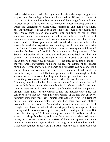had no wish to enter had I the right, and this time the verger might have stopped me, demanding perhaps my baptismal certificate, or a letter of introduction from the Dean. But the outside of these magnificent buildings is often as beautiful as the inside. Moreover, it was amusing enough to watch the congregation assembling, coming in and going out again, busying themselves at the door of the chapel like bees at the mouth of a hive. Many were in cap and gown; some had tufts of fur on their shoulders; others were wheeled in bath-chairs; others, though not past middle age, seemed creased and crushed into shapes so singular that one was reminded of those giant crabs and crayfish who heave with difficulty across the sand of an aquarium. As I leant against the wall the University indeed seemed a sanctuary in which are preserved rare types which would soon be obsolete if left to fight for existence on the pavement of the Strand. Old stories of old deans and old dons came back to mind, but before I had summoned up courage to whistle—it used to be said that at the sound of a whistle old Professor —— instantly broke into a gallop the venerable congregation had gone inside. The outside of the chapel remained. As you know, its high domes and pinnacles can be seen, like a sailing-ship always voyaging never arriving, lit up at night and visible for miles, far away across the hills. Once, presumably, this quadrangle with its smooth lawns, its massive buildings and the chapel itself was marsh too, where the grasses waved and the swine rootled. Teams of horses and oxen, I thought, must have hauled the stone in wagons from far countries, and then with infinite labour the grey blocks in whose shade I was now standing were poised in order one on top of another. and then the painters brought their glass for the windows, and the masons were busy for centuries up on that roof with putty and cement, spade and trowel. Every Saturday somebody must have poured gold and silver out of a leathern purse into their ancient fists, for they had their beer and skittles presumably of an evening. An unending stream of gold and silver, I thought, must have flowed into this court perpetually to keep the stones coming and the masons working; to level, to ditch, to dig and to drain. But it was then the age of faith, and money was poured liberally to set these stones on a deep foundation, and when the stones were raised, still more money was poured in from the coffers of kings and queens and great nobles to ensure that hymns should be sung here and scholars taught. Lands were granted; tithes were paid. And when the age of faith was over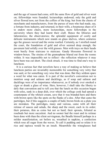and the age of reason had come, still the same flow of gold and silver went on; fellowships were founded; lectureships endowed; only the gold and silver flowed now, not from the coffers of the king. but from the chests of merchants and manufacturers, from the purses of men who had made, say, a fortune from industry, and returned, in their wills, a bounteous share of it to endow more chairs, more lectureships, more fellowships in the university where they had learnt their craft. Hence the libraries and laboratories; the observatories; the splendid equipment of costly and delicate instruments which now stands on glass shelves, where centuries ago the grasses waved and the swine rootled. Certainly, as I strolled round the court, the foundation of gold and silver seemed deep enough; the pavement laid solidly over the wild grasses. Men with trays on their heads went busily from staircase to staircase. Gaudy blossoms flowered in window-boxes. The strains of the gramophone blared out from the rooms within. It was impossible not to reflect—the reflection whatever it may have been was cut short. The clock struck. it was time to find one's way to luncheon.

It is a curious fact that novelists have a way of making us believe that luncheon parties are invariably memorable for something very witty that was said, or for something very wise that was done. But they seldom spare a word for what was eaten. It is part of the novelist's convention not to mention soup and salmon and ducklings, as if soup and salmon and ducklings were of no importance whatsoever, as if nobody ever smoked a cigar or drank a glass of wine. Here, however, I shall take the liberty to defy that convention and to tell you that the lunch on this occasion began with soles, sunk in a deep dish, over which the college cook had spread a counterpane of the whitest cream, save that it was branded here and there with brown spots like the spots on the flanks of a doe. After that came the partridges, but if this suggests a couple of bald, brown birds on a plate you are mistaken. The partridges, many and various, came with all their retinue of sauces and salads, the sharp and the sweet, each in its order; their potatoes, thin as coins but not so hard; their sprouts, foliated as rosebuds but more succulent. And no sooner had the roast and its retinue been done with than the silent servingman, the Beadle himself perhaps in a milder manifestation, set before us, wreathed in napkins, a confection which rose all sugar from the waves. To call it pudding and so relate it to rice and tapioca would be an insult. Meanwhile the wineglasses had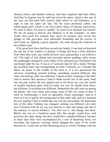flushed yellow and flushed crimson; had been emptied; had been filled. And thus by degrees was lit, half-way down the spine, which is the seat of the soul, not that hard little electric light which we call brilliance, as it pops in and out upon our lips, but the more profound, subtle and subterranean glow which is the rich yellow flame of rational intercourse. No need to hurry. No need to sparkle. No need to be anybody but oneself. We are all going to heaven and Vandyck is of the company—in other words, how good life seemed, how sweet its rewards, how trivial this grudge or that grievance, how admirable friendship and the society of one's kind, as, lighting a good cigarette, one sunk among the cushions in the window-seat.

If by good luck there had been an ash-tray handy, if one had not knocked the ash out of the window in default, if things had been a little different from what they were, one would not have seen, presumably, a cat without a tail. The sight of that abrupt and truncated animal padding softly across the quadrangle changed by some fluke of the subconscious intelligence the emotional light for me. It was as if someone had let fall a shade. Perhaps the excellent hock was relinquishing its hold. Certainly, as I watched the Manx cat pause in the middle of the lawn as if it too questioned the universe, something seemed lacking, something seemed different. But what was lacking, what was different, I asked myself, listening to the talk? And to answer that question I had to think myself out of the room, back into the past, before the war indeed, and to set before my eyes the model of another luncheon party held in rooms not very far distant from these; but different. Everything was different. Meanwhile the talk went on among the guests, who were many and young, some of this sex, some of that; it went on swimmingly, it went on agreeably, freely, amusingly. And as it went on I set it against the background of that other talk, and as I matched the two together I had no doubt that one was the descendant, the legitimate heir of the other. Nothing was changed; nothing was different save only here I listened with all my ears not entirely to what was being said, but to the murmur or current behind it. Yes, that was it—the change was there. Before the war at a luncheon party like this people would have said precisely the same things but they would have sounded different, because in those days they were accompanied by a sort of humming noise, not articulate, but musical, exciting, which changed the value of the words themselves. Could one set that humming noise to words? Perhaps with the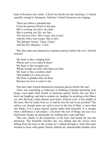help of the poets one could.. A book lay beside me and, opening it, I turned casually enough to Tennyson. And here I found Tennyson was singing:

There has fallen a splendid tear From the passion-flower at the gate. She is coming, my dove, my dear; She is coming, my life, my fate; The red rose cries, 'She is near, she is near'; And the white rose weeps, 'She is late'; The larkspur listens, 'I hear, I hear'; And the lily whispers, 'I wait.'

Was that what men hummed at luncheon parties before the war? And the women?

My heart is like a singing bird Whose nest is in a water'd shoot; My heart is like an apple tree Whose boughs are bent with thick-set fruit, My heart is like a rainbow shell That paddles in a halcyon sea; My heart is gladder than all these Because my love is come to me.

Was that what women hummed at luncheon parties before the war?

There was something so ludicrous in thinking of people humming such things even under their breath at luncheon parties before the war that I burst out laughing. and had to explain my laughter by pointing at the Manx cat, who did look a little absurd, poor beast, without a tail, in the middle of the lawn. Was he really born so, or had he lost his tail in an accident? The tailless cat, though some are said to exist in the Isle of Man, is rarer than one thinks. It is a queer animal, quaint rather than beautiful. It is strange what a difference a tail makes—you know the sort of things one says as a lunch party breaks up and people are finding their coats and hats.

This one, thanks to the hospitality of the host, had lasted far into the afternoon. The beautiful October day was fading and the leaves were falling from the trees in the avenue as I walked through it. Gate after gate seemed to close with gentle finality behind me. Innumerable beadles were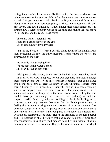fitting innumerable keys into well-oiled locks; the treasure-house was being made secure for another night. After the avenue one comes out upon a road—I forget its name—which leads you, if you take the right turning, along to Fernham. But there was plenty of time. Dinner was not till halfpast seven. One could almost do without dinner after such a luncheon. It is strange how a scrap of poetry works in the mind and makes the legs move in time to it along the road. Those words——

There has fallen a splendid tear From the passion-flower at the gate. She is coming, my dove, my dear——

sang in my blood as I stepped quickly along towards Headingley. And then, switching off into the other measure, I sang, where the waters are churned up by the weir:

My heart is like a singing bird Whose nest is in a water'd shoot; My heart is like an apple tree…

What poets, I cried aloud, as one does in the dusk, what poets they were! In a sort of jealousy, I suppose, for our own age, silly and absurd though these comparisons are, I went on to wonder if honestly one could name two living poets now as great as Tennyson and Christina Rossetti were then. Obviously it is impossible, I thought, looking into those foaming waters, to compare them. The very reason why that poetry excites one to such abandonment, such rapture, is that it celebrates some feeling that one used to have (at luncheon parties before the war perhaps), so that one responds easily, familiarly, without troubling to check the feeling, or to compare it with any that one has now. But the living poets express a feeling that is actually being made and torn out of us at the moment. One does not recognize it in the first place; often for some reason one fears it; one watches it with keenness and compares it jealously and suspiciously with the old feeling that one knew. Hence the difficulty of modern poetry; and it is because of this difficulty that one cannot remember more than two consecutive lines of any good modern poet. For this reason—that my memory failed me—the argument flagged for want of material. But why, I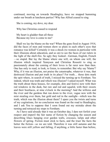continued, moving on towards Headingley, have we stopped humming under our breath at luncheon parties? Why has Alfred ceased to sing

She is coming, my dove, my dear.

Why has Christina ceased to respond

My heart is gladder than all these Because my love is come to me?

Shall we lay the blame on the war? When the guns fired in August 1914, did the faces of men and women show so plain in each other's eyes that romance was killed? Certainly it was a shock (to women in particular with their illusions about education, and so on) to see the faces of our rulers in the light of the shell-fire. So ugly they looked—German, English, French —so stupid. But lay the blame where one will, on whom one will, the illusion which inspired Tennyson and Christina Rossetti to sing so passionately about the coming of their loves is far rarer now than then. One has only to read, to look, to listen, to remember. But why say 'blame'? Why, if it was an illusion, not praise the catastrophe, whatever it was, that destroyed illusion and put truth in its place? For truth… those dots mark the spot where, in search of truth, I missed the turning up to Fernham. Yes indeed, which was truth and which was illusion? I asked myself. What was the truth about these houses, for example, dim and festive now with their red windows in the dusk, but raw and red and squalid, with their sweets and their bootlaces, at nine o'clock in the morning? And the willows and the river and the gardens that run down to the river, vague now with the mist stealing over them, but gold and red in the sunlight—which was the truth, which was the illusion about them? I spare you the twists and turns of my cogitations, for no conclusion was found on the road to Headingley, and I ask You to suppose that I soon found out my mistake about the turning and retraced my steps to Fernham.

As I have said already that it was an October day, I dare not forfeit your respect and imperil the fair name of fiction by changing the season and describing lilacs hanging over garden walls, crocuses, tulips and other flowers of spring. Fiction must stick to facts, and the truer the facts the better the fiction—so we are told. Therefore it was still autumn and the leaves were still yellow and falling, if anything, a little faster than before,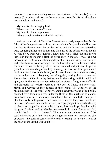because it was now evening (seven twenty-three to be precise) and a breeze (from the south-west to be exact) had risen. But for all that there was something odd at work:

My heart is like a singing bird Whose nest is in a water'd shoot; My heart is like an apple tree Whose boughs are bent with thick-set fruit—

perhaps the words of Christina Rossetti were partly responsible for the folly of the fancy—it was nothing of course but a fancy—that the lilac was shaking its flowers over the garden walls, and the brimstone butterflies were scudding hither and thither, and the dust of the pollen was in the air. A wind blew, from what quarter I know not, but it lifted the half-grown leaves so that there was a flash of silver grey in the air. It was the time between the lights when colours undergo their intensification and purples and golds burn in window-panes like the beat of an excitable heart; when for some reason the beauty of the world revealed and yet soon to perish (here I pushed into the garden, for, unwisely, the door was left open and no beadles seemed about), the beauty of the world which is so soon to perish, has two edges, one of laughter, one of anguish, cutting the heart asunder. The gardens of Fernham lay before me in the spring twilight, wild and open, and in the long grass, sprinkled and carelessly flung, were daffodils and bluebells, not orderly perhaps at the best of times, and now windblown and waving as they tugged at their roots. The windows of the building, curved like ships' windows among generous waves of red brick, changed from lemon to silver under the flight of the quick spring clouds. Somebody was in a hammock, somebody, but in this light they were phantoms only, half guessed, half seen, raced across the grass—would no one stop her?—and then on the terrace, as if popping out to breathe the air, to glance at the garden, came a bent figure, formidable yet humble, with her great forehead and her shabby dress—could it be the famous scholar, could it be J—— H—— herself? All was dim, yet intense too, as if the scarf which the dusk had flung over the garden were torn asunder by star or sword—the gash of some terrible reality leaping, as its way is, out of the heart of the spring. For youth——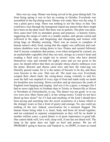Here was my soup. Dinner was being served in the great dining-hall. Far from being spring it was in fact an evening in October. Everybody was assembled in the big dining-room. Dinner was ready. Here was the soup. It was a plain gravy soup. There was nothing to stir the fancy in that. One could have seen through the transparent liquid any pattern that there might have been on the plate itself. But there was no pattern. The plate was plain. Next came beef with its attendant greens and potatoes—a homely trinity, suggesting the rumps of cattle in a muddy market, and sprouts curled and yellowed at the edge, and bargaining and cheapening and women with string bags on Monday morning. There was no reason to complain of human nature's daily food, seeing that the supply was sufficient and coalminers doubtless were sitting down to less. Prunes and custard followed. And if anyone complains that prunes, even when mitigated by custard, are an uncharitable vegetable (fruit they are not), stringy as a miser's heart and exuding a fluid such as might run in misers' veins who have denied themselves wine and warmth for eighty years and yet not given to the poor, he should reflect that there are people whose charity embraces even the prune. Biscuits and cheese came next, and here the water-jug was liberally passed round, for it is the nature of biscuits to be dry, and these were biscuits to the core. That was all. The meal was over. Everybody scraped their chairs back; the swing-doors swung violently to and fro; soon the hall was emptied of every sign of food and made ready no doubt for breakfast next morning. Down corridors and up staircases the youth of England went banging and singing. And was it for a guest, a stranger (for I had no more right here in Fernham than in Trinity or Somerville or Girton or Newnham or Christchurch), to say, 'The dinner was not good,' or to say (we were now, Mary Seton and I, in her sitting-room), 'Could we not have dined up here alone?' for if I had said anything of the kind I should have been prying and searching into the secret economies of a house which to the stranger wears so fine a front of gaiety and courage. No, one could say nothing of the sort. Indeed, conversation for a moment flagged. The human frame being what it is, heart, body and brain all mixed together, and not contained in separate compartments as they will be no doubt in another million years, a good dinner is of great importance to good talk. One cannot think well, love well, sleep well, if one has not dined well. The lamp in the spine does not light on beef and prunes. We are all PROBABLY going to heaven, and Vandyck is, we HOPE, to meet us round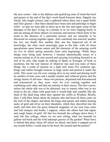the next corner—that is the dubious and qualifying state of mind that beef and prunes at the end of the day's work breed between them. Happily my friend, who taught science, had a cupboard where there was a squat bottle and little glasses—(but there should have been sole and partridge to begin with)—so that we were able to draw up to the fire and repair some of the damages of the day's living. In a minute or so we were slipping freely in and out among all those objects of curiosity and interest which form in the mind in the absence of a particular person, and are naturally to be discussed on coming together again—how somebody has married, another has not; one thinks this, another that; one has improved out of all knowledge, the other most amazingly gone to the bad—with all those speculations upon human nature and the character of the amazing world we live in which spring naturally from such beginnings. While these things were being said, however, I became shamefacedly aware of a current setting in of its own accord and carrying everything forward to an end of its own. One might be talking of Spain or Portugal, of book or racehorse, but the real interest of whatever was said was none of those things, but a scene of masons on a high roof some five centuries ago. Kings and nobles brought treasure in huge sacks and poured it under the earth. This scene was for ever coming alive in my mind and placing itself by another of lean cows and a muddy market and withered greens and the stringy hearts of old men—these two pictures, disjointed and disconnected and nonsensical as they were, were for ever coming together and combating each other and had me entirely at their mercy. The best course, unless the whole talk was to be distorted, was to expose what was in my mind to the air, when with good luck it would fade and crumble like the head of the dead king when they opened the coffin at Windsor. Briefly, then, I told Miss Seton about the masons who had been all those years on the roof of the chapel, and about the kings and queens and nobles bearing sacks of gold and silver on their shoulders, which they shovelled into the earth; and then how the great financial magnates of our own time came and laid cheques and bonds, I suppose, where the others had laid ingots and rough lumps of gold. All that lies beneath the colleges down there, I said; but this college, where we are now sitting, what lies beneath its gallant red brick and the wild unkempt grasses of the garden? What force is behind that plain china off which we dined, and (here it popped out of my mouth before I could stop it) the beef, the custard and the prunes?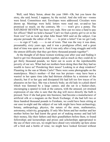Well, said Mary Seton, about the year 1860—Oh, but you know the story, she said, bored, I suppose, by the recital. And she told me—rooms were hired. Committees met. Envelopes were addressed. Circulars were drawn up. Meetings were held; letters were read out; so-and-so has promised so much; on the contrary, Mr —— won't give a penny. The SATURDAY REVIEW has been very rude. How can we raise a fund to pay for offices? Shall we hold a bazaar? Can't we find a pretty girl to sit in the front row? Let us look up what John Stuart Mill said on the subject. Can anyone persuade the editor of the —— to print a letter? Can we get Lady —— to sign it? Lady —— is out of town. That was the way it was done, presumably, sixty years ago, and it was a prodigious effort, and a great deal of time was spent on it. And it was only after a long struggle and with the utmost difficulty that they got thirty thousand pounds together $[1]$ .

At the thought of all those women working year after year and finding it hard to get two thousand pounds together, and as much as they could do to get thirty thousand pounds, we burst out in scorn at the reprehensible poverty of our sex. What had our mothers been doing then that they had no wealth to leave us? Powdering their noses? Looking in at shop windows? Flaunting in the sun at Monte Carlo? There were some photographs on the mantelpiece. Mary's mother—if that was her picture—may have been a wastrel in her spare time (she had thirteen children by a minister of the church), but if so her gay and dissipated life had left too few traces of its pleasures on her face. She was a homely body; an old lady in a plaid shawl which was fastened by a large cameo; and she sat in a basket-chair, encouraging a spaniel to look at the camera, with the amused, yet strained expression of one who is sure that the dog will move directly the bulb is pressed. Now if she had gone into business; had become a manufacturer of artificial silk or a magnate on the Stock Exchange; if she had left two or three hundred thousand pounds to Fernham, we could have been sitting at our ease to-night and the subject of our talk might have been archaeology, botany, anthropology, physics, the nature of the atom, mathematics, astronomy, relativity, geography. If only Mrs Seton and her mother and her mother before her had learnt the great art of making money and had left their money, like their fathers and their grandfathers before them, to found fellowships and lectureships and prizes and scholarships appropriated to the use of their own sex, we might have dined very tolerably up here alone off a bird and a bottle of wine; we might have looked forward without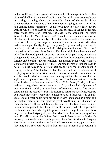undue confidence to a pleasant and honourable lifetime spent in the shelter of one of the liberally endowed professions. We might have been exploring or writing; mooning about the venerable places of the earth; sitting contemplative on the steps of the Parthenon, or going at ten to an office and coming home comfortably at half-past four to write a little poetry. Only, if Mrs Seton and her like had gone into business at the age of fifteen, there would have been—that was the snag in the argument—no Mary. What, I asked, did Mary think of that? There between the curtains was the October night, calm and lovely, with a star or two caught in the yellowing trees. Was she ready to resign her share of it and her memories (for they had been a happy family, though a large one) of games and quarrels up in Scotland, which she is never tired of praising for the fineness of its air and the quality of its cakes, in order that Fernham might have been endowed with fifty thousand pounds or so by a stroke of the pen? For, to endow a college would necessitate the suppression of families altogether. Making a fortune and bearing thirteen children—no human being could stand it. Consider the facts, we said. First there are nine months before the baby is born. Then the baby is born. Then there are three or four months spent in feeding the baby. After the baby is fed there are certainly five years spent in playing with the baby. You cannot, it seems, let children run about the streets. People who have seen them running wild in Russia say that the sight is not a pleasant one. People say, too, that human nature takes its shape in the years between one and five. If Mrs Seton, I said, had been making money, what sort of memories would you have had of games and quarrels? What would you have known of Scotland, and its fine air and cakes and all the rest of it? But it is useless to ask these questions, because you would never have come into existence at all. Moreover, it is equally useless to ask what might have happened if Mrs Seton and her mother and her mother before her had amassed great wealth and laid it under the foundations of college and library, because, in the first place, to earn money was impossible for them, and in the second, had it been possible, the law denied them the right to possess what money they earned. It is only for the last forty-eight years that Mrs Seton has had a penny of her own. For all the centuries before that it would have been her husband's property—a thought which, perhaps, may have had its share in keeping Mrs Seton and her mothers off the Stock Exchange. Every penny I earn, they may have said, will be taken from me and disposed of according to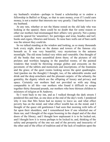my husband's wisdom—perhaps to found a scholarship or to endow a fellowship in Balliol or Kings, so that to earn money, even if I could earn money, is not a matter that interests me very greatly. I had better leave it to my husband.

At any rate, whether or not the blame rested on the old lady who was looking at the spaniel, there could be no doubt that for some reason or other our mothers had mismanaged their affairs very gravely. Not a penny could be spared for 'amenities'; for partridges and wine, beadles and turf, books and cigars, libraries and leisure. To raise bare walls out of bare earth was the utmost they could do.

So we talked standing at the window and looking, as so many thousands look every night, down on the domes and towers of the famous city beneath us. It was very beautiful, very mysterious in the autumn moonlight. The old stone looked very white and venerable. One thought of all the books that were assembled down there; of the pictures of old prelates and worthies hanging in the panelled rooms; of the painted windows that would be throwing strange globes and crescents on the pavement; of the tablets and memorials and inscriptions; of the fountains and the grass; of the quiet rooms looking across the quiet quadrangles. And (pardon me the thought) I thought, too, of the admirable smoke and drink and the deep armchairs and the pleasant carpets: of the urbanity, the geniality, the dignity which are the offspring of luxury and privacy and space. Certainly our mothers had not provided us with any thing comparable to all this—our mothers who found it difficult to scrape together thirty thousand pounds, our mothers who bore thirteen children to ministers of religion at St Andrews.

So I went back to my inn, and as I walked through the dark streets I pondered this and that, as one does at the end of the day's work. I pondered why it was that Mrs Seton had no money to leave us; and what effect poverty has on the mind; and what effect wealth has on the mind; and I thought of the queer old gentlemen I had seen that morning with tufts of fur upon their shoulders; and I remembered how if one whistled one of them ran; and I thought of the organ booming in the chapel and of the shut doors of the library; and I thought how unpleasant it is to be locked out; and I thought how it is worse perhaps to be locked in; and, thinking of the safety and prosperity of the one sex and of the poverty and insecurity of the other and of the effect of tradition and of the lack of tradition upon the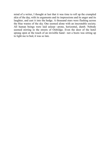mind of a writer, I thought at last that it was time to roll up the crumpled skin of the day, with its arguments and its impressions and its anger and its laughter, and cast it into the hedge. A thousand stars were flashing across the blue wastes of the sky. One seemed alone with an inscrutable society. All human beings were laid asleep—prone, horizontal, dumb. Nobody seemed stirring in the streets of Oxbridge. Even the door of the hotel sprang open at the touch of an invisible hand—not a boots was sitting up to light me to bed, it was so late.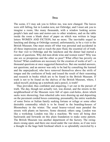The scene, if I may ask you to follow me, was now changed. The leaves were still falling, but in London now, not Oxbridge; and I must ask you to imagine a room, like many thousands, with a window looking across people's hats and vans and motor-cars to other windows, and on the table inside the room a blank sheet of paper on which was written in large letters WOMEN AND FICTION, but no more. The inevitable sequel to lunching and dining at Oxbridge seemed, unfortunately, to be a visit to the British Museum. One must strain off what was personal and accidental in all these impressions and so reach the pure fluid, the essential oil of truth. For that visit to Oxbridge and the luncheon and the dinner had started a swarm of questions. Why did men drink wine and women water? Why was one sex so prosperous and the other so poor? What effect has poverty on fiction? What conditions are necessary for the creation of works of art?—a thousand questions at once suggested themselves. But one needed answers, not questions; and an answer was only to be had by consulting the learned and the unprejudiced, who have removed themselves above the strife of tongue and the confusion of body and issued the result of their reasoning and research in books which are to be found in the British Museum. If truth is not to be found on the shelves of the British Museum, where, I asked myself, picking up a notebook and a pencil, is truth?

Thus provided, thus confident and enquiring, I set out in the pursuit of truth. The day, though not actually wet, was dismal, and the streets in the neighbourhood of the Museum were full of open coal-holes, down which sacks were showering; four-wheeled cabs were drawing up and depositing on the pavement corded boxes containing, presumably, the entire wardrobe of some Swiss or Italian family seeking fortune or refuge or some other desirable commodity which is to be found in the boarding-houses of Bloomsbury in the winter. The usual hoarse-voiced men paraded the streets with plants on barrows. Some shouted; others sang. London was like a workshop. London was like a machine. We were all being shot backwards and forwards on this plain foundation to make some pattern. The British Museum was another department of the factory. The swingdoors swung open; and there one stood under the vast dome, as if one were a thought in the huge bald forehead which is so splendidly encircled by a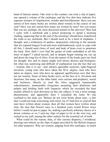band of famous names. One went to the counter; one took a slip of paper; one opened a volume of the catalogue, and the five dots here indicate five separate minutes of stupefaction, wonder and bewilderment. Have you any notion of how many books are written about women in the course of one year? Have you any notion how many are written by men? Are you aware that you are, perhaps, the most discussed animal in the universe? Here had I come with a notebook and a pencil proposing to spend a morning reading, supposing that at the end of the morning I should have transferred the truth to my notebook. But I should need to be a herd of elephants, I thought, and a wilderness of spiders, desperately referring to the animals that are reputed longest lived and most multitudinously eyed, to cope with all this. I should need claws of steel and beak of brass even to penetrate the husk. How shall I ever find the grains of truth embedded in all this mass of paper? I asked myself, and in despair began running my eye up and down the long list of titles. Even the names of the books gave me food for thought. Sex and its nature might well attract doctors and biologists; but what was surprising and difficult of explanation was the fact that sex —woman, that is to say—also attracts agreeable essayists, light-fingered novelists, young men who have taken the M.A. degree; men who have taken no degree; men who have no apparent qualification save that they are not women. Some of these books were, on the face of it, frivolous and facetious; but many, on the other hand, were serious and prophetic, moral and hortatory. Merely to read the titles suggested innumerable schoolmasters, innumerable clergymen mounting their platforms and pulpits and holding forth with loquacity which far exceeded the hour usually alloted to such discourse on this one subject. It was a most strange phenomenon; and apparently—here I consulted the letter M—one confined to the male sex. Women do not write books about men—a fact that I could not help welcoming with relief, for if I had first to read all that men have written about women, then all that women have written about men, the aloe that flowers once in a hundred years would flower twice before I could set pen to paper. So, making a perfectly arbitrary choice of a dozen volumes or so, I sent my slips of paper to lie in the wire tray, and waited in my stall, among the other seekers for the essential oil of truth.

What could be the reason, then, of this curious disparity, I wondered, drawing cart-wheels on the slips of paper provided by the British taxpayer for other purposes. Why are women, judging from this catalogue, so much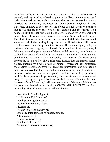more interesting to men than men are to women? A very curious fact it seemed, and my mind wandered to picture the lives of men who spend their time in writing books about women; whether they were old or young, married or unmarried, red-nosed or hump-backed—anyhow, it was flattering, vaguely, to feel oneself the object of such attention provided that it was not entirely bestowed by the crippled and the infirm—so I pondered until all such frivolous thoughts were ended by an avalanche of books sliding down on to the desk in front of me. Now the trouble began. The student who has been trained in research at Oxbridge has no doubt some method of shepherding his question past all distractions till it runs into his answer as a sheep runs into its pen. The student by my side, for instance, who was copying assiduously from a scientific manual, was, I felt sure, extracting pure nuggets of the essential ore every ten minutes or so. His little grunts of satisfaction indicated so much. But if, unfortunately, one has had no training in a university, the question far from being shepherded to its pen flies like a frightened flock hither and thither, helterskelter, pursued by a whole pack of hounds. Professors, schoolmasters, sociologists, clergymen, novelists, essayists, journalists, men who had no qualification save that they were not women, chased my simple and single question—Why are some women poor?—until it became fifty questions; until the fifty questions leapt frantically into midstream and were carried away. Every page in my notebook was scribbled over with notes. To show the state of mind I was in, I will read you a few of them, explaining that the page was headed quite simply, WOMEN AND POVERTY, in block letters; but what followed was something like this:

Condition in Middle Ages of, Habits in the Fiji Islands of, Worshipped as goddesses by, Weaker in moral sense than, Idealism of, Greater conscientiousness of, South Sea Islanders, age of puberty among, Attractiveness of, Offered as sacrifice to, Small size of brain of, Profounder sub-consciousness of,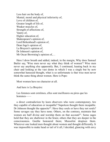Less hair on the body of, Mental, moral and physical inferiority of, Love of children of, Greater length of life of, Weaker muscles of, Strength of affections of, Vanity of, Higher education of, Shakespeare's opinion of, Lord Birkenhead's opinion of, Dean Inge's opinion of, La Bruyere's opinion of, Dr Johnson's opinion of, Mr Oscar Browning's opinion of,…

Here I drew breath and added, indeed, in the margin, Why does Samuel Butler say, 'Wise men never say what they think of women'? Wise men never say anything else apparently. But, I continued, leaning back in my chair and looking at the vast dome in which I was a single but by now somewhat harassed thought, what is so unfortunate is that wise men never think the same thing about women. Here is Pope:

Most women have no character at all.

And here is La Bruyère:

Les femmes sont extrêmes, elles sont meilleures ou pires que les hommes——

a direct contradiction by keen observers who were contemporary. Are they capable of education or incapable? Napoleon thought them incapable. Dr Johnson thought the opposite<sup>[\[2\]](#page-87-1)</sup>. Have they souls or have they not souls? Some savages say they have none. Others, on the contrary, maintain that women are half divine and worship them on that account<sup>[\[3\]](#page-87-2)</sup>. Some sages hold that they are shallower in the brain; others that they are deeper in the consciousness. Goethe honoured them; Mussolini despises them. Wherever one looked men thought about women and thought differently. It was impossible to make head or tail of it all, I decided, glancing with envy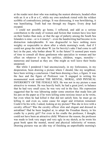at the reader next door who was making the neatest abstracts, headed often with an A or a B or a C, while my own notebook rioted with the wildest scribble of contradictory jottings. It was distressing, it was bewildering, it was humiliating. Truth had run through my fingers. Every drop had escaped.

I could not possibly go home, I reflected, and add as a serious contribution to the study of women and fiction that women have less hair on their bodies than men, or that the age of puberty among the South Sea Islanders is nine—or is it ninety?—even the handwriting had become in its distraction indecipherable. It was disgraceful to have nothing more weighty or respectable to show after a whole morning's work. And if I could not grasp the truth about W. (as for brevity's sake I had come to call her) in the past, why bother about W. in the future? It seemed pure waste of time to consult all those gentlemen who specialize in woman and her effect on whatever it may be—politics, children, wages, morality numerous and learned as they are. One might as well leave their books unopened.

But while I pondered I had unconsciously, in my listlessness, in my desperation, been drawing a picture where I should, like my neighbour, have been writing a conclusion. I had been drawing a face, a figure. It was the face and the figure of Professor von X engaged in writing his monumental work entitled THE MENTAL, MORAL, AND PHYSICAL INFERIORITY OF THE FEMALE SEX. He was not in my picture a man attractive to women. He was heavily built; he had a great jowl; to balance that he had very small eyes; he was very red in the face. His expression suggested that he was labouring under some emotion that made him jab his pen on the paper as if he were killing some noxious insect as he wrote, but even when he had killed it that did not satisfy him; he must go on killing it; and even so, some cause for anger and irritation remained. Could it be his wife, I asked, looking at my picture? Was she in love with a cavalry officer? Was the cavalry officer slim and elegant and dressed in astrakhan? Had he been laughed at, to adopt the Freudian theory, in his cradle by a pretty girl? For even in his cradle the professor, I thought, could not have been an attractive child. Whatever the reason, the professor was made to look very angry and very ugly in my sketch, as he wrote his great book upon the mental, moral and physical inferiority of women. Drawing pictures was an idle way of finishing an unprofitable morning's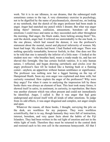work. Yet it is in our idleness, in our dreams, that the submerged truth sometimes comes to the top. A very elementary exercise in psychology, not to be dignified by the name of psychoanalysis, showed me, on looking at my notebook, that the sketch of the angry professor had been made in anger. Anger had snatched my pencil while I dreamt. But what was anger doing there? Interest, confusion, amusement, boredom—all these emotions I could trace and name as they succeeded each other throughout the morning. Had anger, the black snake, been lurking among them? Yes, said the sketch, anger had. It referred me unmistakably to the one book, to the one phrase, which had roused the demon; it was the professor's statement about the mental, moral and physical inferiority of women. My heart had leapt. My cheeks had burnt. I had flushed with anger. There was nothing specially remarkable, however foolish, in that. One does not like to be told that one is naturally the inferior of a little man—I looked at the student next me—who breathes hard, wears a ready-made tie, and has not shaved this fortnight. One has certain foolish vanities. It is only human nature, I reflected, and began drawing cartwheels and circles over the angry professor's face till he looked like a burning bush or a flaming comet—anyhow, an apparition without human semblance or significance. The professor was nothing now but a faggot burning on the top of Hampstead Heath. Soon my own anger was explained and done with; but curiosity remained. How explain the anger of the professors? Why were they angry? For when it came to analysing the impression left by these books there was always an element of heat. This heat took many forms; it showed itself in satire, in sentiment, in curiosity, in reprobation. But there was another element which was often present and could not immediately be identified. Anger, I called it. But it was anger that had gone underground and mixed itself with all kinds of other emotions. To judge from its odd effects, it was anger disguised and complex, not anger simple and open.

Whatever the reason, all these books, I thought, surveying the pile on the desk, are worthless for my purposes. They were worthless scientifically, that is to say, though humanly they were full of instruction, interest, boredom, and very queer facts about the habits of the Fiji Islanders. They had been written in the red light of emotion and not in the white light of truth. Therefore they must be returned to the central desk and restored each to his own cell in the enormous honeycomb. All that I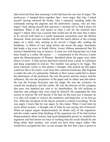had retrieved from that morning's work had been the one fact of anger. The professors—I lumped them together thus—were angry. But why, I asked myself, having returned the books, why, I repeated, standing under the colonnade among the pigeons and the prehistoric canoes, why are they angry? And, asking myself this question, I strolled off to find a place for luncheon. What is the real nature of what I call for the moment their anger? I asked. Here was a puzzle that would last all the time that it takes to be served with food in a small restaurant somewhere near the British Museum. Some previous luncher had left the lunch edition of the evening paper on a chair, and, waiting to be served, I began idly reading the headlines. A ribbon of very large letters ran across the page. Somebody had made a big score in South Africa. Lesser ribbons announced that Sir Austen Chamberlain was at Geneva. A meat axe with human hair on it had been found in a cellar. Mr justice —— commented in the Divorce Courts upon the Shamelessness of Women. Sprinkled about the paper were other pieces of news. A film actress had been lowered from a peak in California and hung suspended in mid-air. The weather was going to be foggy. The most transient visitor to this planet, I thought, who picked up this paper could not fail to be aware, even from this scattered testimony, that England is under the rule of a patriarchy. Nobody in their senses could fail to detect the dominance of the professor. His was the power and the money and the influence. He was the proprietor of the paper and its editor and sub-editor. He was the Foreign Secretary and the judge. He was the cricketer; he owned the racehorses and the yachts. He was the director of the company that pays two hundred per cent to its shareholders. He left millions to charities and colleges that were ruled by himself. He suspended the film actress in mid-air. He will decide if the hair on the meat axe is human; he it is who will acquit or convict the murderer, and hang him, or let him go free. With the exception of the fog he seemed to control everything. Yet he was angry. I knew that he was angry by this token. When I read what he wrote about women—I thought, not of what he was saying, but of himself. When an arguer argues dispassionately he thinks only of the argument; and the reader cannot help thinking of the argument too. If he had written dispassionately about women, had used indisputable proofs to establish his argument and had shown no trace of wishing that the result should be one thing rather than another, one would not have been angry either. One would have accepted the fact, as one accepts the fact that a pea is green or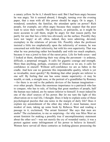a canary yellow. So be it, I should have said. But I had been angry because he was angry. Yet it seemed absurd, I thought, turning over the evening paper, that a man with all this power should be angry. Or is anger, I wondered, somehow, the familiar, the attendant sprite on power? Rich people, for example, are often angry because they suspect that the poor want to seize their wealth. The professors, or patriarchs, as it might be more accurate to call them, might be angry for that reason partly, but partly for one that lies a little less obviously on the surface. Possibly they were not 'angry' at all; often, indeed, they were admiring, devoted, exemplary in the relations of private life. Possibly when the professor insisted a little too emphatically upon the inferiority of women, he was concerned not with their inferiority, but with his own superiority. That was what he was protecting rather hot-headedly and with too much emphasis, because it was a jewel to him of the rarest price. Life for both sexes—and I looked at them, shouldering their way along the pavement—is arduous, difficult, a perpetual struggle. It calls for gigantic courage and strength. More than anything, perhaps, creatures of illusion as we are, it calls for confidence in oneself. Without self-confidence we are as babes in the cradle. And how can we generate this imponderable quality, which is yet so invaluable, most quickly? By thinking that other people are inferior to one self. By feeling that one has some innate superiority—it may be wealth, or rank, a straight nose, or the portrait of a grandfather by Romney —for there is no end to the pathetic devices of the human imagination over other people. Hence the enormous importance to a patriarch who has to conquer, who has to rule, of feeling that great numbers of people, half the human race indeed, are by nature inferior to himself. It must indeed be one of the chief sources of his power. But let me turn the light of this observation on to real life, I thought. Does it help to explain some of those psychological puzzles that one notes in the margin of daily life? Does it explain my astonishment of the other day when Z, most humane, most modest of men, taking up some book by Rebecca West and reading a passage in it, exclaimed, 'The arrant feminist! She says that men are snobs!' The exclamation, to me so surprising—for why was Miss West an arrant feminist for making a possibly true if uncomplimentary statement about the other sex?—was not merely the cry of wounded vanity; it was a protest against some infringement of his power to believe in himself. Women have served all these centuries as looking-glasses possessing the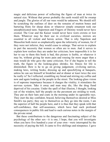magic and delicious power of reflecting the figure of man at twice its natural size. Without that power probably the earth would still be swamp and jungle. The glories of all our wars would he unknown. We should still be scratching the outlines of deer on the remains of mutton bones and bartering flints for sheep skins or whatever simple ornament took our unsophisticated taste. Supermen and Fingers of Destiny would never have existed. The Czar and the Kaiser would never have worn crowns or lost them. Whatever may be their use in civilized societies, mirrors are essential to all violent and heroic action. That is why Napoleon and Mussolini both insist so emphatically upon the inferiority of women, for if they were not inferior, they would cease to enlarge. That serves to explain in part the necessity that women so often are to men. And it serves to explain how restless they are under her criticism; how impossible it is for her to say to them this book is bad, this picture is feeble, or whatever it may be, without giving far more pain and rousing far more anger than a man would do who gave the same criticism. For if she begins to tell the truth, the figure in the looking-glass shrinks; his fitness for life is diminished. How is he to go on giving judgement, civilizing natives, making laws, writing books, dressing up and speechifying at banquets, unless he can see himself at breakfast and at dinner at least twice the size he really is? So I reflected, crumbling my bread and stirring my coffee and now and again looking at the people in the street. The looking-glass vision is of supreme importance because it charges the vitality; it stimulates the nervous system. Take it away and man may die, like the drug fiend deprived of his cocaine. Under the spell of that illusion, I thought, looking out of the window, half the people on the pavement are striding to work. They put on their hats and coats in the morning under its agreeable rays. They start the day confident, braced, believing themselves desired at Miss Smith's tea party; they say to themselves as they go into the room, I am the superior of half the people here, and it is thus that they speak with that self-confidence, that self-assurance, which have had such profound consequences in public life and lead to such curious notes in the margin of the private mind.

But these contributions to the dangerous and fascinating subject of the psychology of the other sex—it is one, I hope, that you will investigate when you have five hundred a year of your own—were interrupted by the necessity of paying the bill. It came to five shillings and ninepence. I gave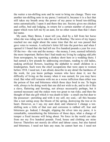the waiter a ten-shilling note and he went to bring me change. There was another ten-shilling note in my purse; I noticed it, because it is a fact that still takes my breath away the power of my purse to breed ten-shilling notes automatically. I open it and there they are. Society gives me chicken and coffee, bed and lodging, in return for a certain number of pieces of paper which were left me by an aunt, for no other reason than that I share her name.

My aunt, Mary Beton, I must tell you, died by a fall from her horse when she was riding out to take the air in Bombay. The news of my legacy reached me one night about the same time that the act was passed that gave votes to women. A solicitor's letter fell into the post-box and when I opened it I found that she had left me five hundred pounds a year for ever. Of the two—the vote and the money—the money, I own, seemed infinitely the more important. Before that I had made my living by cadging odd jobs from newspapers, by reporting a donkey show here or a wedding there; I had earned a few pounds by addressing envelopes, reading to old ladies, making artificial flowers, teaching the alphabet to small children in a kindergarten. Such were the chief occupations that were open to women before 1918. I need not, I am afraid, describe in any detail the hardness of the work, for you know perhaps women who have done it; nor the difficulty of living on the money when it was earned, for you may have tried. But what still remains with me as a worse infliction than either was the poison of fear and bitterness which those days bred in me. To begin with, always to be doing work that one did not wish to do, and to do it like a slave, flattering and fawning, not always necessarily perhaps, but it seemed necessary and the stakes were too great to run risks; and then the thought of that one gift which it was death to hide—a small one but dear to the possessor—perishing and with it my self, my soul,—all this became like a rust eating away the bloom of the spring, destroying the tree at its heart. However, as I say, my aunt died; and whenever I change a tenshilling note a little of that rust and corrosion is rubbed off, fear and bitterness go. Indeed, I thought, slipping the silver into my purse, it is remarkable, remembering the bitterness of those days, what a change of temper a fixed income will bring about. No force in the world can take from me my five hundred pounds. Food, house and clothing are mine forever. Therefore not merely do effort and labour cease, but also hatred and bitterness. I need not hate any man; he cannot hurt me. I need not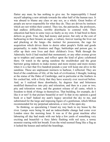flatter any man; he has nothing to give me. So imperceptibly I found myself adopting a new attitude towards the other half of the human race. It was absurd to blame any class or any sex, as a whole. Great bodies of people are never responsible for what they do. They are driven by instincts which are not within their control. They too, the patriarchs, the professors, had endless difficulties, terrible drawbacks to contend with. Their education had been in some ways as faulty as my own. It had bred in them defects as great. True, they had money and power, but only at the cost of harbouring in their breasts an eagle, a vulture, forever tearing the liver out and plucking at the lungs—the instinct for possession, the rage for acquisition which drives them to desire other people's fields and goods perpetually; to make frontiers and flags; battleships and poison gas; to offer up their own lives and their children's lives. Walk through the Admiralty Arch (I had reached that monument), or any other avenue given up to trophies and cannon, and reflect upon the kind of glory celebrated there. Or watch in the spring sunshine the stockbroker and the great barrister going indoors to make money and more money and more money when it is a fact that five hundred pounds a year will keep one alive in the sunshine. These are unpleasant instincts to harbour, I reflected. They are bred of the conditions of life; of the lack of civilization, I thought, looking at the statue of the Duke of Cambridge, and in particular at the feathers in his cocked hat, with a fixity that they have scarcely ever received before. And, as I realized these drawbacks, by degrees fear and bitterness modified themselves into pity and toleration; and then in a year or two, pity and toleration went, and the greatest release of all came, which is freedom to think of things in themselves. That building, for example, do I like it or not? Is that picture beautiful or not? Is that in my opinion a good book or a bad? Indeed my aunt's legacy unveiled the sky to me, and substituted for the large and imposing figure of a gentleman, which Milton recommended for my perpetual adoration, a view of the open sky.

So thinking, so speculating I found my way back to my house by the river. Lamps were being lit and an indescribable change had come over London since the morning hour. It was as if the great machine after labouring all day had made with our help a few yards of something very exciting and beautiful—a fiery fabric flashing with red eyes, a tawny monster roaring with hot breath. Even the wind seemed flung like a flag as it lashed the houses and rattled the hoardings.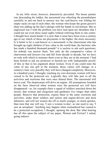In my little street, however, domesticity prevailed. The house painter was descending his ladder; the nursemaid was wheeling the perambulator carefully in and out back to nursery tea; the coal-heaver was folding his empty sacks on top of each other; the woman who keeps the green grocer's shop was adding up the day's takings with her hands in red mittens. But so engrossed was I with the problem you have laid upon my shoulders that I could not see even these usual sights without referring them to one centre. I thought how much harder it is now than it must have been even a century ago to say which of these em ployments is the higher, the more necessary. Is it better to be a coal-heaver or a nursemaid; is the charwoman who has brought up eight children of less value to the world than, the barrister who has made a hundred thousand pounds? it is useless to ask such questions; for nobody can answer them. Not only do the comparative values of charwomen and lawyers rise and fall from decade to decade, but we have no rods with which to measure them even as they are at the moment. I had been foolish to ask my professor to furnish me with 'indisputable proofs' of this or that in his argument about women. Even if one could state the value of any one gift at the moment, those values will change; in a century's time very possibly they will have changed completely. Moreover, in a hundred years, I thought, reaching my own doorstep, women will have ceased to be the protected sex. Logically they will take part in all the activities and exertions that were once denied them. The nursemaid will heave coal. The shopwoman will drive an engine. All assumptions founded on the facts observed when women were the protected sex will have disappeared—as, for example (here a squad of soldiers marched down the street), that women and clergymen and gardeners live longer than other people. Remove that protection, expose them to the same exertions and activities, make them soldiers and sailors and engine-drivers and dock labourers, and will not women die off so much younger, so much quicker, than men that one will say, 'I saw a woman to-day', as one used to say, 'I saw an aeroplane'. Anything may happen when womanhood has ceased to be a protected occupation, I thought, opening the door. But what bearing has all this upon the subject of my paper, Women and Fiction? I asked, going indoors.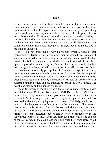## **Three**

It was disappointing not to have brought back in the evening some important statement, some authentic fact. Women are poorer than men because—this or that. Perhaps now it would be better to give up seeking for the truth, and receiving on one's head an avalanche of opinion hot as lava, discoloured as dish-water. It would be better to draw the curtains; to shut out distractions; to light the lamp; to narrow the enquiry and to ask the historian, who records not opinions but facts, to describe under what conditions women lived, not throughout the ages, but in England, say, in the time of Elizabeth.

For it is a perennial puzzle why no woman wrote a word of that extraordinary literature when every other man, it seemed, was capable of song or sonnet. What were the conditions in which women lived? I asked myself; for fiction, imaginative work that is, is not dropped like a pebble upon the ground, as science may be; fiction is like a spider's web, attached ever so lightly perhaps, but still attached to life at all four corners. Often the attachment is scarcely perceptible; Shakespeare's plays, for instance, seem to hang there complete by themselves. But when the web is pulled askew, hooked up at the edge, torn in the middle, one remembers that these webs are not spun in mid-air by incorporeal creatures, but are the work of suffering human beings, and are attached to grossly material things, like health and money and the houses we live in.

I went, therefore, to the shelf where the histories stand and took down one of the latest, Professor Trevelyan's HISTORY OF ENGLAND. Once more I looked up Women, found 'position of' and turned to the pages indicated. 'Wife-beating', I read, 'was a recognized right of man, and was practised without shame by high as well as low… Similarly,' the historian goes on, 'the daughter who refused to marry the gentleman of her parents' choice was liable to be locked up, beaten and flung about the room, without any shock being inflicted on public opinion. Marriage was not an affair of personal affection, but of family avarice, particularly in the "chivalrous" upper classes… Betrothal often took place while one or both of the parties was in the cradle, and marriage when they were scarcely out of the nurses' charge.' That was about 1470, soon after Chaucer's time. The next reference to the position of women is some two hundred years later,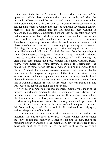in the time of the Stuarts. 'It was still the exception for women of the upper and middle class to choose their own husbands, and when the husband had been assigned, he was lord and master, so far at least as law and custom could make him. Yet even so,' Professor Trevelyan concludes, 'neither Shakespeare's women nor those of authentic seventeenth-century memoirs, like the Verneys and the Hutchinsons, seem wanting in personality and character.' Certainly, if we consider it, Cleopatra must have had a way with her; Lady Macbeth, one would suppose, had a will of her own; Rosalind, one might conclude, was an attractive girl. Professor Trevelyan is speaking no more than the truth when he remarks that Shakespeare's women do not seem wanting in personality and character. Not being a historian, one might go even further and say that women have burnt like beacons in all the works of all the poets from the beginning of time—Clytemnestra, Antigone, Cleopatra, Lady Macbeth, Phedre, Cressida, Rosalind, Desdemona, the Duchess of Malfi, among the dramatists; then among the prose writers: Millamant, Clarissa, Becky Sharp, Anna Karenina, Emma Bovary, Madame de Guermantes—the names flock to mind, nor do they recall women 'lacking in personality and character.' Indeed, if woman had no existence save in the fiction written by men, one would imagine her a person of the utmost importance; very various; heroic and mean; splendid and sordid; infinitely beautiful and hideous in the extreme; as great as a man, some think even greater $[4]$ . But this is woman in fiction. In fact, as Professor Trevelyan points out, she was locked up, beaten and flung about the room.

A very queer, composite being thus emerges. Imaginatively she is of the highest importance; practically she is completely insignificant. She pervades poetry from cover to cover; she is all but absent from history. She dominates the lives of kings and conquerors in fiction; in fact she was the slave of any boy whose parents forced a ring upon her finger. Some of the most inspired words, some of the most profound thoughts in literature fall from her lips; in real life she could hardly read, could scarcely spell, and was the property of her husband.

It was certainly an odd monster that one made up by reading the historians first and the poets afterwards—a worm winged like an eagle; the spirit of life and beauty in a kitchen chopping up suet. But these monsters, however amusing to the imagination, have no existence in fact. What one must do to bring her to life was to think poetically and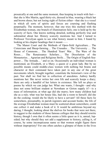prosaically at one and the same moment, thus keeping in touch with fact that she is Mrs Martin, aged thirty-six, dressed in blue, wearing a black hat and brown shoes; but not losing sight of fiction either—that she is a vessel in which all sorts of spirits and forces are coursing and flashing perpetually. The moment, however, that one tries this method with the Elizabethan woman, one branch of illumination fails; one is held up by the scarcity of facts. One knows nothing detailed, nothing perfectly true and substantial about her. History scarcely mentions her. And I turned to Professor Trevelyan again to see what history meant to him. I found by looking at his chapter headings that it meant——

'The Manor Court and the Methods of Open-field Agriculture… The Cistercians and Sheep-farming… The Crusades… The University … The House of Commons… The Hundred Years' War… The Wars of the Roses… The Renaissance Scholars… The Dissolution of the Monasteries… Agrarian and Religious Strife… The Origin of English Seapower… The Armada… ' and so on. Occasionally an individual woman is mentioned, an Elizabeth, or a Mary; a queen or a great lady. But by no possible means could middle-class women with nothing but brains and character at their command have taken part in any one of the great movements which, brought together, constitute the historian's view of the past. Nor shall we find her in collection of anecdotes. Aubrey hardly mentions her. She never writes her own life and scarcely keeps a diary; there are only a handful of her letters in existence. She left no plays or poems by which we can judge her. What one wants, I thought—and why does not some brilliant student at Newnham or Girton supply it?—is a mass of information; at what age did she marry; how many children had she as a rule; what was her house like, had she a room to herself; did she do the cooking; would she be likely to have a servant? All these facts lie somewhere, presumably, in parish registers and account books; the life of the average Elizabethan woman must be scattered about somewhere, could one collect it and make a book of it. It would be ambitious beyond my daring, I thought, looking about the shelves for books that were not there, to suggest to the students of those famous colleges that they should rewrite history, though I own that it often seems a little queer as it is, unreal, lopsided; but why should they not add a supplement to history, calling it, of course, by some inconspicuous name so that women might figure there without impropriety? For one often catches a glimpse of them in the lives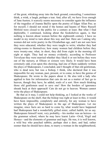of the great, whisking away into the back ground, concealing, I sometimes think, a wink, a laugh, perhaps a tear. And, after all, we have lives enough of Jane Austen; it scarcely seems necessary to consider again the influence of the tragedies of Joanna Baillie upon the poetry of Edgar Allan Poe; as for myself, I should not mind if the homes and haunts of Mary Russell Mitford were closed to the public for a century at least. But what I find deplorable, I continued, looking about the bookshelves again, is that nothing is known about women before the eighteenth century. I have no model in my mind to turn about this way and that. Here am I asking why women did not write poetry in the Elizabethan age, and I am not sure how they were educated; whether they were taught to write; whether they had sitting-rooms to themselves; how many women had children before they were twenty-one; what, in short, they did from eight in the morning till eight at night. They had no money evidently; according to Professor Trevelyan they were married whether they liked it or not before they were out of the nursery, at fifteen or sixteen very likely. It would have been extremely odd, even upon this showing, had one of them suddenly written the plays of Shakespeare, I concluded, and I thought of that old gentleman, who is dead now, but was a bishop, I think, who declared that it was impossible for any woman, past, present, or to come, to have the genius of Shakespeare. He wrote to the papers about it. He also told a lady who applied to him for information that cats do not as a matter of fact go to heaven, though they have, he added, souls of a sort. How much thinking those old gentlemen used to save one! How the borders of ignorance shrank back at their approach! Cats do not go to heaven. Women cannot write the plays of Shakespeare.

Be that as it may, I could not help thinking, as I looked at the works of Shakespeare on the shelf, that the bishop was right at least in this; it would have been impossible, completely and entirely, for any woman to have written the plays of Shakespeare in the age of Shakespeare. Let me imagine, since facts are so hard to come by, what would have happened had Shakespeare had a wonderfully gifted sister, called Judith, let us say. Shakespeare himself went, very probably,—his mother was an heiress—to the grammar school, where he may have learnt Latin—Ovid, Virgil and Horace—and the elements of grammar and logic. He was, it is well known, a wild boy who poached rabbits, perhaps shot a deer, and had, rather sooner than he should have done, to marry a woman in the neighbourhood,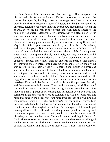who bore him a child rather quicker than was right. That escapade sent him to seek his fortune in London. He had, it seemed, a taste for the theatre; he began by holding horses at the stage door. Very soon he got work in the theatre, became a successful actor, and lived at the hub of the universe, meeting everybody, knowing everybody, practising his art on the boards, exercising his wits in the streets, and even getting access to the palace of the queen. Meanwhile his extraordinarily gifted sister, let us suppose, remained at home. She was as adventurous, as imaginative, as agog to see the world as he was. But she was not sent to school. She had no chance of learning grammar and logic, let alone of reading Horace and Virgil. She picked up a book now and then, one of her brother's perhaps, and read a few pages. But then her parents came in and told her to mend the stockings or mind the stew and not moon about with books and papers. They would have spoken sharply but kindly, for they were substantial people who knew the conditions of life for a woman and loved their daughter—indeed, more likely than not she was the apple of her father's eye. Perhaps she scribbled some pages up in an apple loft on the sly but was careful to hide them or set fire to them. Soon, however, before she was out of her teens, she was to be betrothed to the son of a neighbouring wool-stapler. She cried out that marriage was hateful to her, and for that she was severely beaten by her father. Then he ceased to scold her. He begged her instead not to hurt him, not to shame him in this matter of her marriage. He would give her a chain of beads or a fine petticoat, he said; and there were tears in his eyes. How could she disobey him? How could she break his heart? The force of her own gift alone drove her to it. She made up a small parcel of her belongings, let herself down by a rope one summer's night and took the road to London. She was not seventeen. The birds that sang in the hedge were not more musical than she was. She had the quickest fancy, a gift like her brother's, for the tune of words. Like him, she had a taste for the theatre. She stood at the stage door; she wanted to act, she said. Men laughed in her face. The manager—a fat, looselipped man—guffawed. He bellowed something about poodles dancing and women acting—no woman, he said, could possibly be an actress. He hinted—you can imagine what. She could get no training in her craft. Could she even seek her dinner in a tavern or roam the streets at midnight? Yet her genius was for fiction and lusted to feed abundantly upon the lives of men and women and the study of their ways. At last—for she was very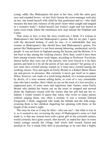young, oddly like Shakespeare the poet in her face, with the same grey eyes and rounded brows—at last Nick Greene the actor-manager took pity on her; she found herself with child by that gentleman and so—who shall measure the heat and violence of the poet's heart when caught and tangled in a woman's body?—killed herself one winter's night and lies buried at some cross-roads where the omnibuses now stop outside the Elephant and Castle.

That, more or less, is how the story would run, I think, if a woman in Shakespeare's day had had Shakespeare's genius. But for my part, I agree with the deceased bishop, if such he was—it is unthinkable that any woman in Shakespeare's day should have had Shakespeare's genius. For genius like Shakespeare's is not born among labouring, uneducated, servile people. It was not born in England among the Saxons and the Britons. It is not born to-day among the working classes. How, then, could it have been born among women whose work began, according to Professor Trevelyan, almost before they were out of the nursery, who were forced to it by their parents and held to it by all the power of law and custom? Yet genius of a sort must have existed among women as it must have existed among the working classes. Now and again an Emily Brontë or a Robert Burns blazes out and proves its presence. But certainly it never got itself on to paper. When, however, one reads of a witch being ducked, of a woman possessed by devils, of a wise woman selling herbs, or even of a very remarkable man who had a mother, then I think we are on the track of a lost novelist, a suppressed poet, of some mute and inglorious Jane Austen, some Emily Brontë who dashed her brains out on the moor or mopped and mowed about the highways crazed with the torture that her gift had put her to. Indeed, I would venture to guess that Anon, who wrote so many poems without singing them, was often a woman. It was a woman Edward Fitzgerald, I think, suggested who made the ballads and the folk-songs, crooning them to her children, beguiling her spinning with them, or the length of the winter's night.

This may be true or it may be false—who can say?—but what is true in it, so it seemed to me, reviewing the story of Shakespeare's sister as I had made it, is that any woman born with a great gift in the sixteenth century would certainly have gone crazed, shot herself, or ended her days in some lonely cottage outside the village, half witch, half wizard, feared and mocked at. For it needs little skill in psychology to be sure that a highly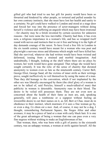gifted girl who had tried to use her gift for poetry would have been so thwarted and hindered by other people, so tortured and pulled asunder by her own contrary instincts, that she must have lost her health and sanity to a certainty. No girl could have walked to London and stood at a stage door and forced her way into the presence of actor-managers without doing herself a violence and suffering an anguish which may have been irrational —for chastity may be a fetish invented by certain societies for unknown reasons—but were none the less inevitable. Chastity had then, it has even now, a religious importance in a woman's life, and has so wrapped itself round with nerves and instincts that to cut it free and bring it to the light of day demands courage of the rarest. To have lived a free life in London in the six teenth century would have meant for a woman who was poet and playwright a nervous stress and dilemma which might well have killed her. Had she survived, whatever she had written would have been twisted and deformed, issuing from a strained and morbid imagination. And undoubtedly, I thought, looking at the shelf where there are no plays by women, her work would have gone unsigned. That refuge she would have sought certainly. It was the relic of the sense of chastity that dictated anonymity to women even so late as the nineteenth century. Currer Bell, George Eliot, George Sand, all the victims of inner strife as their writings prove, sought ineffectively to veil themselves by using the name of a man. Thus they did homage to the convention, which if not implanted by the other sex was liberally encouraged by them (the chief glory of a woman is not to be talked of, said Pericles, himself a much-talked-of man) that publicity in women is detestable. Anonymity runs in their blood. The desire to be veiled still possesses them. They are not even now as concerned about the health of their fame as men are, and, speaking generally, will pass a tombstone or a signpost without feeling an irresistible desire to cut their names on it, as Alf, Bert or Chas. must do in obedience to their instinct, which murmurs if it sees a fine woman go by, or even a dog, Ce chien est a moi. And, of course, it may not be a dog, I thought, remembering Parliament Square, the Sieges Allee and other avenues; it may be a piece of land or a man with curly black hair. It is one of the great advantages of being a woman that one can pass even a very fine negress without wishing to make an Englishwoman of her.

That woman, then, who was born with a gift of poetry in the sixteenth century, was an unhappy woman, a woman at strife against herself. All the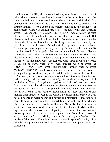conditions of her life, all her own instincts, were hostile to the state of mind which is needed to set free whatever is in the brain. But what is the state of mind that is most propitious to the act of creation? I asked. Can one come by any notion of the state that furthers and makes possible that strange activity? Here I opened the volume containing the Tragedies of Shakespeare. What was Shakespeare's state of mind, for instance, when he wrote LEAR and ANTONY AND CLEOPATRA? It was certainly the state of mind most favourable to poetry that there has ever existed. But Shakespeare himself said nothing about it. We only know casually and by chance that he 'never blotted a line'. Nothing indeed was ever said by the artist himself about his state of mind until the eighteenth century perhaps. Rousseau perhaps began it. At any rate, by the nineteenth century selfconsciousness had developed so far that it was the habit for men of letters to describe their minds in confessions and autobiographies. Their lives also were written, and their letters were printed after their deaths. Thus, though we do not know what Shakespeare went through when he wrote LEAR, we do know what Carlyle went through when he wrote the FRENCH REVOLUTION; what Flaubert went through when he wrote MADAME BOVARY; what Keats was going through when he tried to write poetry against the coming death and the indifference of the world.

And one gathers from this enormous modern literature of confession and self-analysis that to write a work of genius is almost always a feat of prodigious difficulty. Everything is against the likelihood that it will come from the writer's mind whole and entire. Generally material circumstances are against it. Dogs will bark; people will interrupt; money must be made; health will break down. Further, accentuating all these difficulties and making them harder to bear is the world's notorious indifference. It does not ask people to write poems and novels and histories; it does not need them. It does not care whether Flaubert finds the right word or whether Carlyle scrupulously verifies this or that fact. Naturally, it will not pay for what it does not want. And so the writer, Keats, Flaubert, Carlyle, suffers, especially in the creative years of youth, every form of distraction and discouragement. A curse, a cry of agony, rises from those books of analysis and confession. 'Mighty poets in their misery dead'—that is the burden of their song. If anything comes through in spite of all this, it is a miracle, and probably no book is born entire and uncrippled as it was conceived.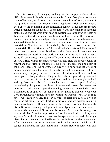But for women, I thought, looking at the empty shelves, these difficulties were infinitely more formidable. In the first place, to have a room of her own, let alone a quiet room or a sound-proof room, was out of the question, unless her parents were exceptionally rich or very noble, even up to the beginning of the nineteenth century. Since her pin money, which depended on the goodwill of her father, was only enough to keep her clothed, she was debarred from such alleviations as came even to Keats or Tennyson or Carlyle, all poor men, from a walking tour, a little journey to France, from the separate lodging which, even if it were miserable enough, sheltered them from the claims and tyrannies of their families. Such material difficulties were formidable; but much worse were the immaterial. The indifference of the world which Keats and Flaubert and other men of genius have found so hard to bear was in her case not indifference but hostility. The world did not say to her as it said to them, Write if you choose; it makes no difference to me. The world said with a guffaw, Write? What's the good of your writing? Here the psychologists of Newnham and Girton might come to our help, I thought, looking again at the blank spaces on the shelves. For surely it is time that the effect of discouragement upon the mind of the artist should be measured, as I have seen a dairy company measure the effect of ordinary milk and Grade A milk upon the body of the rat. They set two rats in cages side by side, and of the two one was furtive, timid and small, and the other was glossy, bold and big. Now what food do we feed women as artists upon? I asked, remembering, I suppose, that dinner of prunes and custard. To answer that question I had only to open the evening paper and to read that Lord Birkenhead is of opinion—but really I am not going to trouble to copy out Lord Birkenhead's opinion upon the writing of women. What Dean Inge says I will leave in peace. The Harley Street specialist may be allowed to rouse the echoes of Harley Street with his vociferations without raising a hair on my head. I will quote, however, Mr Oscar Browning, because Mr Oscar Browning was a great figure in Cambridge at one time, and used to examine the students at Girton and Newnham. Mr Oscar Browning was wont to declare 'that the impression left on his mind, after looking over any set of examination papers, was that, irrespective of the marks he might give, the best woman was intellectually the inferior of the worst man'. After saying that Mr Browning went back to his rooms—and it is this sequel that endears him and makes him a human figure of some bulk and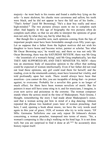majesty—he went back to his rooms and found a stable-boy lying on the sofa—'a mere skeleton, his cheeks were cavernous and sallow, his teeth were black, and he did not appear to have the full use of his limbs… "That's Arthur" [said Mr Browning]. "He's a dear boy really and most high-minded."' The two pictures always seem to me to complete each other. And happily in this age of biography the two pictures often do complete each other, so that we are able to interpret the opinions of great men not only by what they say, but by what they do.

But though this is possible now, such opinions coming from the lips of important people must have been formidable enough even fifty years ago. Let us suppose that a father from the highest motives did not wish his daughter to leave home and become writer, painter or scholar. 'See what Mr Oscar Browning says,' he would say; and there so was not only Mr Oscar Browning; there was the SATURDAY REVIEW; there was Mr Greg —the 'essentials of a woman's being', said Mr Greg emphatically, 'are that THEY ARE SUPPORTED BY, AND THEY MINISTER TO, MEN'—there was an enormous body of masculine opinion to the effect that nothing could be expected of women intellectually. Even if her father did not read out loud these opinions, any girl could read them for herself; and the reading, even in the nineteenth century, must have lowered her vitality, and told profoundly upon her work. There would always have been that assertion—you cannot do this, you are incapable of doing that—to protest against, to overcome. Probably for a novelist this germ is no longer of much effect; for there have been women novelists of merit. But for painters it must still have some sting in it; and for musicians, I imagine, is even now active and poisonous in the extreme. The woman composer stands where the actress stood in the time of Shakespeare. Nick Greene, I thought, remembering the story I had made about Shakespeare's sister, said that a woman acting put him in mind of a dog dancing. Johnson repeated the phrase two hundred years later of women preaching. And here, I said, opening a book about music, we have the very words used again in this year of grace, 1928, of women who try to write music. 'Of Mlle. Germaine Tailleferre one can only repeat Dr Johnson's dictum concerning, a woman preacher, transposed into terms of music. "Sir, a woman's composing is like a dog's walking on his hind legs. It is not done well, but you are surprised to find it done at all."<sup>[\[5\]](#page-88-0)</sup> So accurately does history repeat itself.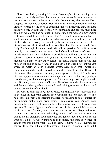Thus, I concluded, shutting Mr Oscar Browning's life and pushing away the rest, it is fairly evident that even in the nineteenth century a woman was not encouraged to be an artist. On the contrary, she was snubbed, slapped, lectured and exhorted. Her mind must have been strained and her vitality lowered by the need of opposing this, of disproving that. For here again we come within range of that very interesting and obscure masculine complex which has had so much influence upon the woman's movement; that deep-seated desire, not so much that SHE shall be inferior as that HE shall be superior, which plants him wherever one looks, not only in front of the arts, but barring the way to politics too, even when the risk to himself seems infinitesimal and the suppliant humble and devoted. Even Lady Bessborough, I remembered, with all her passion for politics, must humbly bow herself and write to Lord Granville Leveson-Gower: '… notwithstanding all my violence in politicks and talking so much on that subject, I perfectly agree with you that no woman has any business to meddle with that or any other serious business, farther than giving her opinion (if she is ask'd).' And so she goes on to spend her enthusiasm where it meets with no obstacle whatsoever, upon that immensely important subject, Lord Granville's maiden speech in the House of Commons. The spectacle is certainly a strange one, I thought. The history of men's opposition to women's emancipation is more interesting perhaps than the story of that emancipation itself. An amusing book might be made of it if some young student at Girton or Newnham would collect examples and deduce a theory,—but she would need thick gloves on her hands, and bars to protect her of solid gold.

But what is amusing now, I recollected, shutting Lady Bessborough, had to be taken in desperate earnest once. Opinions that one now pastes in a book labelled cock-a-doodledum and keeps for reading to select audiences on summer nights once drew tears, I can assure you. Among your grandmothers and great-grandmothers there were many that wept their eyes out. Florence Nightingale shrieked aloud in her agony<sup>[\[6\]](#page-88-1)</sup>. Moreover, it is all very well for you, who have got yourselves to college and enjoy sitting-rooms—or is it only bed-sitting-rooms?—of your own to say that genius should disregard such opinions; that genius should be above caring what is said of it. Unfortunately, it is precisely the men or women of genius who mind most what is said of them. Remember Keats. Remember the words he had cut on his tombstone. Think of Tennyson; think but I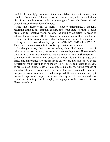need hardly multiply instances of the undeniable, if very fortunate, fact that it is the nature of the artist to mind excessively what is said about him. Literature is strewn with the wreckage of men who have minded beyond reason the opinions of others.

And this susceptibility of theirs is doubly unfortunate, I thought, returning again to my original enquiry into what state of mind is most propitious for creative work, because the mind of an artist, in order to achieve the prodigious effort of freeing whole and entire the work that is in him, must be incandescent, like Shakespeare's mind, I conjectured, looking at the book which lay open at ANTONY AND CLEOPATRA. There must be no obstacle in it, no foreign matter unconsumed.

For though we say that we know nothing about Shakespeare's state of mind, even as we say that, we are saying something about Shakespeare's state of mind. The reason perhaps why we know so little of Shakespeare compared with Donne or Ben Jonson or Milton—is that his grudges and spites and antipathies are hidden from us. We are not held up by some 'revelation' which reminds us of the writer. All desire to protest, to preach, to proclaim an injury, to pay off a score, to make the world the witness of some hardship or grievance was fired out of him and consumed. Therefore his poetry flows from him free and unimpeded. If ever a human being got his work expressed completely, it was Shakespeare. If ever a mind was incandescent, unimpeded, I thought, turning again to the bookcase, it was Shakespeare's mind.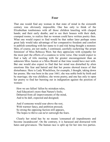## **Four**

That one would find any woman in that state of mind in the sixteenth century was obviously impossible. One has only to think of the Elizabethan tombstones with all those children kneeling with clasped hands; and their early deaths; and to see their houses with their dark, cramped rooms, to realize that no woman could have written poetry then. What one would expect to find would be that rather later perhaps some great lady would take advantage of her comparative freedom and comfort to publish something with her name to it and risk being thought a monster. Men, of course, are not snobs, I continued, carefully eschewing 'the arrant feminism' of Miss Rebecca West; but they appreciate with sympathy for the most part the efforts of a countess to write verse. One would expect to find a lady of title meeting with far greater encouragement than an unknown Miss Austen or a Miss Brontë at that time would have met with. But one would also expect to find that her mind was disturbed by alien emotions like fear and hatred and that her poems showed traces of that disturbance. Here is Lady Winchilsea, for example, I thought, taking down her poems. She was born in the year 1661; she was noble both by birth and by marriage; she was childless; she wrote poetry, and one has only to open her poetry to find her bursting out in indignation against the position of women:

How we are fallen! fallen by mistaken rules, And Education's more than Nature's fools; Debarred from all improvements of the mind, And to be dull, expected and designed;

And if someone would soar above the rest, With warmer fancy, and ambition pressed, So strong the opposing faction still appears, The hopes to thrive can ne'er outweigh the fears.

Clearly her mind has by no means 'consumed all impediments and become incandescent'. On the contrary, it is harassed and distracted with hates and grievances. The human race is split up for her into two parties.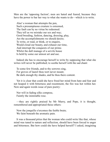Men are the 'opposing faction'; men are hated and feared, because they have the power to bar her way to what she wants to do—which is to write.

Alas! a woman that attempts the pen, Such a presumptuous creature is esteemed, The fault can by no virtue be redeemed. They tell us we mistake our sex and way; Good breeding, fashion, dancing, dressing, play, Are the accomplishments we should desire; To write, or read, or think, or to enquire, Would cloud our beauty, and exhaust our time, And interrupt the conquests of our prime. Whilst the dull manage of a servile house Is held by some our utmost art and use.

Indeed she has to encourage herself to write by supposing that what she writes will never be published; to soothe herself with the sad chant:

To some few friends, and to thy sorrows sing, For groves of laurel thou wert never meant; Be dark enough thy shades, and be thou there content.

Yet it is clear that could she have freed her mind from hate and fear and not heaped it with bitterness and resentment, the fire was hot within her. Now and again words issue of pure poetry:

Nor will in fading silks compose, Faintly the inimitable rose.

—they are rightly praised by Mr Murry, and Pope, it is thought, remembered and appropriated those others:

Now the jonquille o'ercomes the feeble brain; We faint beneath the aromatic pain.

It was a thousand pities that the woman who could write like that, whose mind was tuned to nature and reflection, should have been forced to anger and bitterness. But how could she have helped herself? I asked, imagining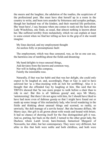the sneers and the laughter, the adulation of the toadies, the scepticism of the professional poet. She must have shut herself up in a room in the country to write, and been torn asunder by bitterness and scruples perhaps, though her husband was of the kindest, and their married life perfection. She 'must have', I say, because when one comes to seek out the facts about Lady Winchilsea, one finds, as usual, that almost nothing is known about her. She suffered terribly from melancholy, which we can explain at least to some extent when we find her telling us how in the grip of it she would imagine:

My lines decried, and my employment thought An useless folly or presumptuous fault:

The employment, which was thus censured, was, as far as one can see, the harmless one of rambling about the fields and dreaming:

My hand delights to trace unusual things, And deviates from the known and common way, Nor will in fading silks compose, Faintly the inimitable rose.

Naturally, if that was her habit and that was her delight, she could only expect to be laughed at; and, accordingly, Pope or Gay is said to have satirized her 'as a blue-stocking with an itch for scribbling'. Also it is thought that she offended Gay by laughing at him. She said that his TRIVIA showed that 'he was more proper to walk before a chair than to ride in one'. But this is all 'dubious gossip' and, says Mr Murry, 'uninteresting'. But there I do not agree with him, for I should have liked to have had more even of dubious gossip so that I might have found out or made up some image of this melancholy lady, who loved wandering in the fields and thinking about unusual things and scorned, so rashly, so unwisely, 'the dull manage of a servile house'. But she became diffuse, Mr Murry says. Her gift is all grown about with weeds and bound with briars. It had no chance of showing itself for the fine distinguished gift it was. And so, putting, her back on the shelf, I turned to the other great lady, the Duchess whom Lamb loved, hare-brained, fantastical Margaret of Newcastle, her elder, but her contemporary. They were very different, but alike in this that both were noble and both childless, and both were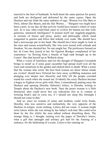married to the best of husbands. In both burnt the same passion for poetry and both are disfigured and deformed by the same causes. Open the Duchess and one finds the same outburst of rage. 'Women live like Bats or Owls, labour like Beasts, and die like Worms… ' Margaret too might have been a poet; in our day all that activity would have turned a wheel of some sort. As it was, what could bind, tame or civilize for human use that wild, generous, untutored intelligence? It poured itself out, higgledy-piggledy, in torrents of rhyme and prose, poetry and philosophy which stand congealed in quartos and folios that nobody ever reads. She should have had a microscope put in her hand. She should have been taught to look at the stars and reason scientifically. Her wits were turned with solitude and freedom. No one checked her. No one taught her. The professors fawned on her. At Court they jeered at her. Sir Egerton Brydges complained of her coarseness—'as flowing from a female of high rank brought up in the Courts'. She shut herself up at Welbeck alone.

What a vision of loneliness and riot the thought of Margaret Cavendish brings to mind! as if some giant cucumber had spread itself over all the roses and carnations in the garden and choked them to death. What a waste that the woman who wrote 'the best bred women are those whose minds are civilest' should have frittered her time away scribbling nonsense and plunging ever deeper into obscurity and folly till the people crowded round her coach when she issued out. Evidently the crazy Duchess became a bogey to frighten clever girls with. Here, I remembered, putting away the Duchess and opening Dorothy Osborne's letters, is Dorothy writing to Temple about the Duchess's new book. 'Sure the poore woman is a little distracted, shee could never bee soe rediculous else as to venture at writeing book's and in verse too, if I should not sleep this fortnight I should not come to that.'

And so, since no woman of sense and modesty could write books, Dorothy, who was sensitive and melancholy, the very opposite of the Duchess in temper, wrote nothing. Letters did not count. A woman might write letters while she was sitting by her father's sick-bed. She could write them by the fire whilst the men talked without disturbing them. The strange thing is, I thought, turning over the pages of Dorothy's letters, what a gift that untaught and solitary girl had for the framing of a sentence, for the fashioning of a scene. Listen to her running on: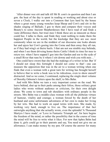'After dinner wee sitt and talk till Mr B. com's in question and then I am gon. the heat of the day is spent in reading or working and about sixe or seven a Clock, I walke out into a Common that lyes hard by the house where a great many young wenches keep Sheep and Cow's and sitt in the shades singing of Ballads; I goe to them and compare their voyces and Beauty's to some Ancient Shepherdesses that I have read of and finde a vaste difference there, but trust mee I think these are as innocent as those could bee. I talke to them, and finde they want nothing to make them the happiest People in the world, but the knoledge that they are soe. most commonly when we are in the middest of our discourse one looks aboute her and spyes her Cow's goeing into the Corne and then away they all run, as if they had wing's at theire heels. I that am not soe nimble stay behinde, and when I see them driveing home theire Cattle I think tis time for mee to retyre too. when I have supped I goe into the Garden and soe to the syde of a small River that runs by it where I sitt downe and wish you with mee… '

One could have sworn that she had the makings of a writer in her. But 'if I should not sleep this fortnight I should not come to that'—one can measure the opposition that was in the air to a woman writing when one finds that even a woman with a great turn for writing has brought herself to believe that to write a book was to be ridiculous, even to show oneself distracted. And so we come, I continued, replacing the single short volume of Dorothy Osborne's letters upon the shelf, to Mrs Behn.

And with Mrs Behn we turn a very important corner on the road. We leave behind, shut up in their parks among their folios, those solitary great ladies who wrote without audience or criticism, for their own delight alone. We come to town and rub shoulders with ordinary people in the streets. Mrs Behn was a middle-class woman with all the plebeian virtues of humour, vitality and courage; a woman forced by the death of her husband and some unfortunate adventures of her own to make her living by her wits. She had to work on equal terms with men. She made, by working very hard, enough to live on. The importance of that fact outweighs anything that she actually wrote, even the splendid 'A Thousand Martyrs I have made', or 'Love in Fantastic Triumph sat', for here begins the freedom of the mind, or rather the possibility that in the course of time the mind will be free to write what it likes. For now that Aphra Behn had done it, girls could go to their parents and say, You need not give me an allowance; I can make money by my pen. Of course the answer for many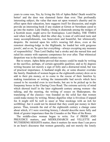years to come was, Yes, by living the life of Aphra Behn! Death would be better! and the door was slammed faster than ever. That profoundly interesting subject, the value that men set upon women's chastity and its effect upon their education, here suggests itself for discussion, and might provide an interesting book if any student at Girton or Newnham cared to go into the matter. Lady Dudley, sitting in diamonds among the midges of a Scottish moor, might serve for frontispiece. Lord Dudley, THE TIMES said when Lady Dudley died the other day, 'a man of cultivated taste and many accomplishments, was benevolent and bountiful, but whimsically despotic. He insisted upon his wife's wearing full dress, even at the remotest shooting-lodge in the Highlands; he loaded her with gorgeous jewels', and so on, 'he gave her everything—always excepting any measure of responsibility'. Then Lord Dudley had a stroke and she nursed him and ruled his estates with supreme competence for ever after. That whimsical despotism was in the nineteenth century too.

But to return. Aphra Behn proved that money could be made by writing at the sacrifice, perhaps, of certain agreeable qualities; and so by degrees writing became not merely a sign of folly and a distracted mind, but was of practical importance. A husband might die, or some disaster overtake the family. Hundreds of women began as the eighteenth century drew on to add to their pin money, or to come to the rescue of their families by making translations or writing the innumerable bad novels which have ceased to be recorded even in text-books, but are to be picked up in the fourpenny boxes in the Charing Cross Road. The extreme activity of mind which showed itself in the later eighteenth century among women—the talking, and the meeting, the writing of essays on Shakespeare, the translating of the classics—was founded on the solid fact that women could make money by writing. Money dignifies what is frivolous if unpaid for. It might still be well to sneer at 'blue stockings with an itch for scribbling', but it could not be denied that they could put money in their purses. Thus, towards the end of the eighteenth century a change came about which, if I were rewriting history, I should describe more fully and think of greater importance than the Crusades or the Wars of the Roses.

The middle-class woman began to write. For if PRIDE AND PREJUDICE matters, and MIDDLEMARCH and VILLETTE and WUTHERING HEIGHTS matter, then it matters far more than I can prove in an hour's discourse that women generally, and not merely the lonely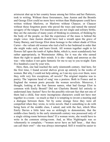aristocrat shut up in her country house among her folios and her flatterers, took to writing. Without those forerunners, Jane Austen and the Brontës and George Eliot could no more have written than Shakespeare could have written without Marlowe, or Marlowe without Chaucer, or Chaucer without those forgotten poets who paved the ways and tamed the natural savagery of the tongue. For masterpieces are not single and solitary births; they are the outcome of many years of thinking in common, of thinking by the body of the people, so that the experience of the mass is behind the single voice. Jane Austen should have laid a wreath upon the grave of Fanny Burney, and George Eliot done homage to the robust shade of Eliza Carter—the valiant old woman who tied a bell to her bedstead in order that she might wake early and learn Greek. All women together ought to let flowers fall upon the tomb of Aphra Behn, which is, most scandalously but rather appropriately, in Westminster Abbey, for it was she who earned them the right to speak their minds. It is she—shady and amorous as she was—who makes it not quite fantastic for me to say to you to-night: Earn five hundred a year by your wits.

Here, then, one had reached the early nineteenth century. And here, for the first time, I found several shelves given up entirely to the works of women. But why, I could not help asking, as I ran my eyes over them, were they, with very few exceptions, all novels? The original impulse was to poetry. The 'supreme head of song' was a poetess. Both in France and in England the women poets precede the women novelists. Moreover, I thought, looking at the four famous names, what had George Eliot in common with Emily Brontë? Did not Charlotte Brontë fail entirely to understand Jane Austen? Save for the possibly relevant fact that not one of them had a child, four more incongruous characters could not have met together in a room—so much so that it is tempting to invent a meeting and a dialogue between them. Yet by some strange force they were all compelled when they wrote, to write novels. Had it something to do with being born of the middle class, I asked; and with the fact, which Miss Emily Davies a little later was so strikingly to demonstrate, that the middle-class family in the early nineteenth century was possessed only of a single sitting-room between them? If a woman wrote, she would have to write in the common sitting-room. And, as Miss Nightingale was so vehemently to complain,—"women never have an half hour… that they can call their own"—she was always interrupted. Still it would be easier to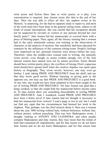write prose and fiction there than to write poetry or a play. Less concentration is required. Jane Austen wrote like that to the end of her days. 'How she was able to effect all this', her nephew writes in his Memoir, 'is surprising, for she had no separate study to repair to, and most of the work must have been done in the general sitting-room, subject to all kinds of casual interruptions. She was careful that her occupation should not be suspected by servants or visitors or any persons beyond her own family party<sup>[\[7\]](#page-88-2)</sup>. Jane Austen hid her manuscripts or covered them with a piece of blotting-paper. Then, again, all the literary training that a woman had in the early nineteenth century was training in the observation of character, in the analysis of emotion. Her sensibility had been educated for centuries by the influences of the common sitting-room. People's feelings were impressed on her; personal relations were always before her eyes. Therefore, when the middle-class woman took to writing, she naturally wrote novels, even though, as seems evident enough, two of the four famous women here named were not by nature novelists. Emily Brontë should have written poetic plays; the overflow of George Eliot's capacious mind should have spread itself when the creative impulse was spent upon history or biography. They wrote novels, however; one may even go further, I said, taking PRIDE AND PREJUDICE from the shelf, and say that they wrote good novels. Without boasting or giving pain to the opposite sex, one may say that PRIDE AND PREJUDICE is a good book. At any rate, one would not have been ashamed to have been caught in the act of writing PRIDE AND PREJUDICE. Yet Jane Austen was glad that a hinge creaked, so that she might hide her manuscript before anyone came in. To Jane Austen there was something discreditable in writing PRIDE AND PREJUDICE. And, I wondered, would PRIDE AND PREJUDICE have been a better novel if Jane Austen had not thought it necessary to hide her manuscript from visitors? I read a page or two to see; but I could not find any signs that her circumstances had harmed her work in the slightest. That, perhaps, was the chief miracle about it. Here was a woman about the year 1800 writing without hate, without bitterness, without fear, without protest, without preaching. That was how Shakespeare wrote, I thought, looking at ANTONY AND CLEOPATRA; and when people compare Shakespeare and Jane Austen, they may mean that the minds of both had consumed all impediments; and for that reason we do not know Jane Austen and we do not know Shakespeare, and for that reason Jane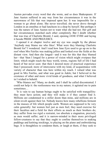Austen pervades every word that she wrote, and so does Shakespeare. If Jane Austen suffered in any way from her circumstances it was in the narrowness of life that was imposed upon her. It was impossible for a woman to go about alone. She never travelled; she never drove through London in an omnibus or had luncheon in a shop by herself. But perhaps it was the nature of Jane Austen not to want what she had not. Her gift and her circumstances matched each other completely. But I doubt whether that was true of Charlotte Brontë, I said, opening JANE EYRE and laying it beside PRIDE AND PREJUDICE.

I opened it at chapter twelve and my eye was caught by the phrase 'Anybody may blame me who likes'. What were they blaming Charlotte Brontë for? I wondered. And I read how Jane Eyre used to go up on to the roof when Mrs Fairfax was making jellies and looked over the fields at the distant view. And then she longed—and it was for this that they blamed her—that 'then I longed for a power of vision which might overpass that limit; which might reach the busy world, towns, regions full of life I had heard of but never seen: that then I desired more of practical experience than I possessed; more of intercourse with my kind, of acquaintance with variety of character than was here within my reach. I valued what was good in Mrs Fairfax, and what was good in Adele; but I believed in the existence of other and more vivid kinds of goodness, and what I believed in I wished to behold.

'Who blames me? Many, no doubt, and I shall he called discontented. I could not help it: the restlessness was in my nature; it agitated me to pain sometimes…

'It is vain to say human beings ought to be satisfied with tranquillity: they must have action; and they will make it if they cannot find it. Millions are condemned to a stiller doom than mine, and millions are in silent revolt against their lot. Nobody knows how many rebellions ferment in the masses of life which people earth. Women are supposed to be very calm generally: but women feel just as men feel; they need exercise for their faculties and a field for their efforts as much as their brothers do; they suffer from too rigid a restraint, too absolute a stagnation, precisely as men would suffer; and it is narrow-minded in their more privileged fellow-creatures to say that they ought to confine themselves to making puddings and knitting stockings, to playing on the piano and embroidering bags. It is thoughtless to condemn them, or laugh at them, if they seek to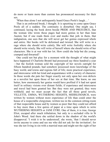do more or learn more than custom has pronounced necessary for their sex.

'When thus alone I not unfrequently heard Grace Poole's laugh… '

That is an awkward break, I thought. It is upsetting to come upon Grace Poole all of a sudden. The continuity is disturbed. One might say, I continued, laying the book down beside PRIDE AND PREJUDICE, that the woman who wrote those pages had more genius in her than Jane Austen; but if one reads them over and marks that jerk in them, that indignation, one sees that she will never get her genius expressed whole and entire. Her books will be deformed and twisted. She will write in a rage where she should write calmly. She will write foolishly where she should write wisely. She will write of herself where she should write of her characters. She is at war with her lot. How could she help but die young, cramped and thwarted?

One could not but play for a moment with the thought of what might have happened if Charlotte Brontë had possessed say three hundred a year —but the foolish woman sold the copyright of her novels outright for fifteen hundred pounds; had somehow possessed more knowledge of the busy world, and towns and regions full of life; more practical experience, and intercourse with her kind and acquaintance with a variety of character. In those words she puts her finger exactly not only upon her own defects as a novelist but upon those of her sex at that time. She knew, no one better, how enormously her genius would have profited if it had not spent itself in solitary visions over distant fields; if experience and intercourse and travel had been granted her. But they were not granted; they were withheld; and we must accept the fact that all those good novels, VILLETTE, EMMA, WUTHERING HEIGHTS, MIDDLEMARCH, were written by women without more experience of life than could enter the house of a respectable clergyman; written too in the common sitting-room of that respectable house and by women so poor that they could not afford to buy more than a few quires of paper at a time upon which to write WUTHERING HEIGHTS or JANE EYRE. One of them, it is true, George Eliot, escaped after much tribulation, but only to a secluded villa in St John's Wood. And there she settled down in the shadow of the world's disapproval. 'I wish it to be understood', she wrote, 'that I should never invite anyone to come and see me who did not ask for the invitation'; for was she not living in sin with a married man and might not the sight of her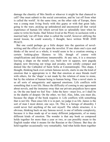damage the chastity of Mrs Smith or whoever it might be that chanced to call? One must submit to the social convention, and be 'cut off from what is called the world'. At the same time, on the other side of Europe, there was a young man living freely with this gypsy or with that great lady; going to the wars; picking up unhindered and uncensored all that varied experience of human life which served him so splendidly later when he came to write his books. Had Tolstoi lived at the Priory in seclusion with a married lady 'cut off from what is called the world', however edifying the moral lesson, he could scarcely, I thought, have written WAR AND PEACE.

But one could perhaps go a little deeper into the question of novelwriting and the effect of sex upon the novelist. If one shuts one's eyes and thinks of the novel as a whole, it would seem to be a creation owning a certain looking-glass likeness to life, though of course with simplifications and distortions innumerable. At any rate, it is a structure leaving a shape on the mind's eye, built now in squares, now pagoda shaped, now throwing out wings and arcades, now solidly compact and domed like the Cathedral of Saint Sofia at Constantinople. This shape, I thought, thinking back over certain famous novels, starts in one the kind of emotion that is appropriate to it. But that emotion at once blends itself with others, for the 'shape' is not made by the relation of stone to stone, but by the relation of human being to human being. Thus a novel starts in us all sorts of antagonistic and opposed emotions. Life conflicts with something that is not life. Hence the difficulty of coming to any agreement about novels, and the immense sway that our private prejudices have upon us. On the one hand we feel You—John the hero—must live, or I shall be in the depths of despair. On the other, we feel, Alas, John, you must die, because the shape of the book requires it. Life conflicts with something that is not life. Then since life it is in part, we judge it as life. James is the sort of man I most detest, one says. Or, This is a farrago of absurdity. I could never feel anything of the sort myself. The whole structure, it is obvious, thinking back on any famous novel, is one of infinite complexity, because it is thus made up of so many different judgements, of so many different kinds of emotion. The wonder is that any book so composed holds together for more than a year or two, or can possibly mean to the English reader what it means for the Russian or the Chinese. But they do hold together occasionally very remarkably. And what holds them together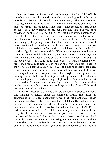in these rare instances of survival (I was thinking of WARAND PEACE) is something that one calls integrity, though it has nothing to do with paying one's bills or behaving honourably in an emergency. What one means by integrity, in the case of the novelist, is the conviction that he gives one that this is the truth. Yes, one feels, I should never have thought that this could be so; I have never known people behaving like that. But you have convinced me that so it is, so it happens. One holds every phrase, every scene to the light as one reads—for Nature seems, very oddly, to have provided us with an inner light by which to judge of the novelist's integrity or disintegrity. Or perhaps it is rather that Nature, in her most irrational mood, has traced in invisible ink on the walls of the mind a premonition which these great artists confirm; a sketch which only needs to be held to the fire of genius to become visible. When one so exposes it and sees it come to life one exclaims in rapture, But this is what I have always felt and known and desired! And one boils over with excitement, and, shutting the book even with a kind of reverence as if it were something very precious, a stand-by to return to as long as one lives, one puts it back on the shelf, I said, taking WAR AND PEACE and putting it back in its place. If, on the other hand, these poor sentences that one takes and tests rouse first a quick and eager response with their bright colouring and their dashing gestures but there they stop: something seems to check them in their development: or if they bring to light only a faint scribble in that corner and a blot over there, and nothing appears whole and entire, then one heaves a sigh of disappointment and says. Another failure. This novel has come to grief somewhere.

And for the most part, of course, novels do come to grief somewhere. The imagination falters under the enormous strain. The insight is confused; it can no longer distinguish between the true and the false, it has no longer the strength to go on with the vast labour that calls at every moment for the use of so many different faculties. But how would all this be affected by the sex of the novelist, I wondered, looking at JANE EYRE and the others. Would the fact of her sex in any way interfere with the integrity of a woman novelist—that integrity which I take to be the backbone of the writer? Now, in the passages I have quoted from JANE EYRE, it is clear that anger was tampering with the integrity of Charlotte Brontë the novelist. She left her story, to which her entire devotion was due, to attend to some personal grievance. She remembered that she had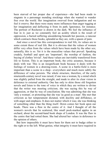been starved of her proper due of experience—she had been made to stagnate in a parsonage mending stockings when she wanted to wander free over the world. Her imagination swerved from indignation and we feel it swerve. But there were many more influences than anger tugging at her imagination and deflecting it from its path. Ignorance, for instance. The portrait of Rochester is drawn in the dark. We feel the influence of fear in it; just as we constantly feel an acidity which is the result of oppression, a buried suffering smouldering beneath her passion, a rancour which contracts those books, splendid as they are, with a spasm of pain.

And since a novel has this correspondence to real life, its values are to some extent those of real life. But it is obvious that the values of women differ very often from the values which have been made by the other sex; naturally, this is so. Yet it is the masculine values that prevail. Speaking crudely, football and sport are 'important'; the worship of fashion, the buying of clothes 'trivial'. And these values are inevitably transferred from life to fiction. This is an important book, the critic assumes, because it deals with war. This is an insignificant book because it deals with the feelings of women in a drawing-room. A scene in a battle-field is more important than a scene in a shop—everywhere and much more subtly the difference of value persists. The whole structure, therefore, of the early nineteenth-century novel was raised, if one was a woman, by a mind which was slightly pulled from the straight, and made to alter its clear vision in deference to external authority. One has only to skim those old forgotten novels and listen to the tone of voice in which they are written to divine that the writer was meeting criticism; she was saying this by way of aggression, or that by way of conciliation. She was admitting that she was 'only a woman', or protesting that she was 'as good as a man'. She met that criticism as her temperament dictated, with docility and diffidence, or with anger and emphasis. It does not matter which it was; she was thinking of something other than the thing itself. Down comes her book upon our heads. There was a flaw in the centre of it. And I thought of all the women's novels that lie scattered, like small pock-marked apples in an orchard, about the second-hand book shops of London. It was the flaw in the centre that had rotted them. She had altered her values in deference to the opinion of others.

But how impossible it must have been for them not to budge either to the right or to the left. What genius, what integrity it must have required in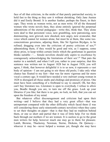face of all that criticism, in the midst of that purely patriarchal society, to hold fast to the thing as they saw it without shrinking. Only Jane Austen did it and Emily Brontë. It is another feather, perhaps the finest, in their caps. They wrote as women write, not as men write. Of all the thousand women who wrote novels then, they alone entirely ignored the perpetual admonitions of the eternal pedagogue—write this, think that. They alone were deaf to that persistent voice, now grumbling, now patronizing, now domineering, now grieved, now shocked, now angry, now avuncular, that voice which cannot let women alone, but must be at them, like some tooconscientious governess, adjuring them, like Sir Egerton Brydges, to be refined; dragging even into the criticism of poetry criticism of sex;<sup>[\[8\]](#page-88-3)</sup> admonishing them, if they would be good and win, as I suppose, some shiny prize, to keep within certain limits which the gentleman in question thinks suitable—'… female novelists should only aspire to excellence by courageously acknowledging the limitations of their sex'. [\[9\]](#page-88-4) That puts the matter in a nutshell, and when I tell you, rather to your surprise, that this sentence was written not in August 1828 but in August 1928, you will agree, I think, that however delightful it is to us now, it represents a vast body of opinion—I am not going to stir those old pools; I take only what chance has floated to my feet—that was far more vigorous and far more vocal a century ago. It would have needed a very stalwart young woman in 1828 to disregard all those snubs and chidings and promises of prizes. One must have been something of a firebrand to say to oneself, Oh, but they can't buy literature too. Literature is open to everybody. I refuse to allow you, Beadle though you are, to turn me off the grass. Lock up your libraries if you like; but there is no gate, no lock, no bolt, that you can set upon the freedom of my mind.

But whatever effect discouragement and criticism had upon their writing—and I believe that they had a very great effect—that was unimportant compared with the other difficulty which faced them (I was still considering those early nineteenth-century novelists) when they came to set their thoughts on paper—that is that they had no tradition behind them, or one so short and partial that it was of little help. For we think back through our mothers if we are women. It is useless to go to the great men writers for help, however much one may go to them for pleasure. Lamb, Browne, Thackeray, Newman, Sterne, Dickens, De Quincey whoever it may be—never helped a woman yet, though she may have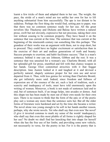learnt a few tricks of them and adapted them to her use. The weight, the pace, the stride of a man's mind are too unlike her own for her to lift anything substantial from him successfully. The ape is too distant to be sedulous. Perhaps the first thing she would find, setting pen to paper, was that there was no common sentence ready for her use. All the great novelists like Thackeray and Dickens and Balzac have written a natural prose, swift but not slovenly, expressive but not precious, taking their own tint without ceasing to be common property. They have based it on the sentence that was current at the time. The sentence that was current at the beginning of the nineteenth century ran something like this perhaps: 'The grandeur of their works was an argument with them, not to stop short, but to proceed. They could have no higher excitement or satisfaction than in the exercise of their art and endless generations of truth and beauty. Success prompts to exertion; and habit facilitates success.' That is a man's sentence; behind it one can see Johnson, Gibbon and the rest. It was a sentence that was unsuited for a woman's use. Charlotte Brontë, with all her splendid gift for prose, stumbled and fell with that clumsy weapon in her hands. George Eliot committed atrocities with it that beggar description. Jane Austen looked at it and laughed at it and devised a perfectly natural, shapely sentence proper for her own use and never departed from it. Thus, with less genius for writing than Charlotte Brontë, she got infinitely more said. Indeed, since freedom and fullness of expression are of the essence of the art, such a lack of tradition, such a scarcity and inadequacy of tools, must have told enormously upon the writing of women. Moreover, a book is not made of sentences laid end to end, but of sentences built, if an image helps, into arcades or domes. And this shape too has been made by men out of their own needs for their own uses. There is no reason to think that the form of the epic or of the poetic play suit a woman any more than the sentence suits her. But all the older forms of literature were hardened and set by the time she became a writer. The novel alone was young enough to be soft in her hands another reason, perhaps, why she wrote novels. Yet who shall say that even now 'the novel' (I give it inverted commas to mark my sense of the words' inadequacy), who shall say that even this most pliable of all forms is rightly shaped for her use? No doubt we shall find her knocking that into shape for herself when she has the free use of her limbs; and providing some new vehicle, not necessarily in verse, for the poetry in her. For it is the poetry that is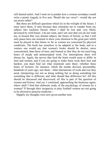still denied outlet. And I went on to ponder how a woman nowadays would write a poetic tragedy in five acts. Would she use verse?—would she not use prose rather?

But these are difficult questions which lie in the twilight of the future. I must leave them, if only because they stimulate me to wander from my subject into trackless forests where I shall be lost and, very likely, devoured by wild beasts. I do not want, and I am sure that you do not want me, to broach that very dismal subject, the future of fiction. so that I will only pause here one moment to draw your attention to the great part which must be played in that future so far as women are concerned by physical conditions. The book has somehow to be adapted to the body, and at a venture one would say that women's books should be shorter, more concentrated, than those of men, and framed so that they do not need long hours of steady and uninterrupted work. For interruptions there will always be. Again, the nerves that feed the brain would seem to differ in men and women, and if you are going to make them work their best and hardest, you must find out what treatment suits them—whether these hours of lectures, for instance, which the monks devised, presumably, hundreds of years ago, suit them—what alternations of work and rest they need, interpreting rest not as doing nothing but as doing something but something that is different; and what should that difference be? All this should be discussed and discovered; all this is part of the question of women and fiction. And yet, I continued, approaching the bookcase again, where shall I find that elaborate study of the psychology of women by a woman? If through their incapacity to play football women are not going to be allowed to practise medicine—

Happily my thoughts were now given another turn.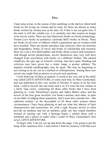I had come at last, in the course of this rambling, to the shelves which hold books by the living; by women and by men; for there are almost as many books written by women now as by men. Or if that is not yet quite true, if the male is still the voluble sex, it is certainly true that women no longer write novels solely. There are Jane Harrison's books on Greek archaeology; Vernon Lee's books on aesthetics; Gertrude Bell's books on Persia. There are books on all sorts of subjects which a generation ago no woman could have touched. There are poems and plays and criticism; there are histories and biographies, books of travel and books of scholarship and research; there are even a few philosophies and books about science and economics. And though novels predominate, novels themselves may very well have changed from association with books of a different feather. The natural simplicity, the epic age of women's writing, may have gone. Reading and criticism may have given her a wider range, a greater subtlety. The impulse towards autobiography may be spent. She may be beginning to use writing as an art, not as a method of selfexpression. Among these new novels one might find an answer to several such questions.

I took down one of them at random. It stood at the very end of the shelf, was called LIFE'S ADVENTURE, or some such title, by Mary Carmichael, and was published in this very month of October. It seems to be her first book, I said to myself, but one must read it as if it were the last volume in a fairly long series, continuing all those other books that I have been glancing at—Lady Winchilsea's poems and Aphra Behn's plays and the novels of the four great novelists. For books continue each other, in spite of our habit of judging them separately. And I must also consider her—this unknown woman—as the descendant of all those other women whose circumstances I have been glancing at and see what she inherits of their characteristics and restrictions. So, with a sigh, because novels so often provide an anodyne and not an antidote, glide one into torpid slumbers instead of rousing one with a burning brand, I settled down with a notebook and a pencil to make what I could of Mary Carmichael's first novel, LIFE'SADVENTURE.

To begin with, I ran my eye up and down the page. I am going to get the hang of her sentences first, I said, before I load my memory with blue eyes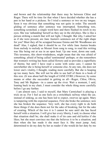and brown and the relationship that there may be between Chloe and Roger. There will be time for that when I have decided whether she has a pen in her hand or a pickaxe. So I tried a sentence or two on my tongue. Soon it was obvious that something was not quite in order. The smooth gliding of sentence after sentence was interrupted. Something tore, something scratched; a single word here and there flashed its torch in my eyes. She was 'unhanding' herself as they say in the old plays. She is like a person striking a match that will not light, I thought. But why, I asked her as if she were present, are Jane Austen's sentences not of the right shape for you? Must they all be scrapped because Emma and Mr Woodhouse are dead? Alas, I sighed, that it should be so. For while Jane Austen breaks from melody to melody as Mozart from song to song, to read this writing was like being out at sea in an open boat. Up one went, down one sank. This terseness, this short-windedness, might mean that she was afraid of something; afraid of being called 'sentimental' perhaps; or she remembers that women's writing has been called flowery and so provides a superfluity of thorns; but until I have read a scene with some care, I cannot be surewhether she is being herself or someone else. At any rate, she does not lower one's vitality, I thought, reading more carefully. But she is heaping up too many facts. She will not be able to use half of them in a book of this size. (It was about half the length of JANE EYRE.) However, by some means or other she succeeded in getting us all—Roger, Chloe, Olivia, Tony and Mr Bigham—in a canoe up the river. Wait a moment, I said, leaning back in my chair, I must consider the whole thing more carefully before I go any further.

I am almost sure, I said to myself, that Mary Carmichael is playing a trick on us. For I feel as one feels on a switchback railway when the car, instead of sinking, as one has been led to expect, swerves up again. Mary is tampering with the expected sequence. First she broke the sentence; now she has broken the sequence. Very well, she has every right to do both these things if she does them not for the sake of breaking, but for the sake of creating. Which of the two it is I cannot be sure until she has faced herself with a situation. I will give her every liberty, I said, to choose what that situation shall be; she shall make it of tin cans and old kettles if she likes; but she must convince me that she believes it to be a situation; and then when she has made it she must face it. She must jump. And, determined to do my duty by her as reader if she would do her duty by me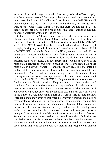as writer, I turned the page and read… I am sorry to break off so abruptly. Are there no men present? Do you promise me that behind that red curtain over there the figure of Sir Charles Biron is not concealed? We are all women you assure me? Then I may tell you that the very next words I read were these—'Chloe liked Olivia… ' Do not start. Do not blush. Let us admit in the privacy of our own society that these things sometimes happen. Sometimes women do like women.

'Chloe liked Olivia,' I read. And then it struck me how immense a change was there. Chloe liked Olivia perhaps for the first time in literature. Cleopatra did not like Octavia. And how completely ANTONY AND CLEOPATRA would have been altered had she done so! As it is, I thought, letting my mind, I am afraid, wander a little from LIFE'S ADVENTURE, the whole thing is simplified, conventionalized, if one dared say it, absurdly. Cleopatra's only feeling about Octavia is one of jealousy. Is she taller than I am? How does she do her hair? The play, perhaps, required no more. But how interesting it would have been if the relationship between the two women had been more complicated. All these relationships between women, I thought, rapidly recalling the splendid gallery of fictitious women, are too simple. So much has been left out, unattempted. And I tried to remember any case in the course of my reading where two women are represented as friends. There is an attempt at it in DIANA OF THE CROSSWAYS. They are confidantes, of course, in Racine and the Greek tragedies. They are now and then mothers and daughters. But almost without exception they are shown in their relation to men. It was strange to think that all the great women of fiction were, until Jane Austen's day, not only seen by the other sex, but seen only in relation to the other sex. And how small a part of a woman's life is that; and how little can a man know even of that when he observes it through the black or rosy spectacles which sex puts upon his nose. Hence, perhaps, the peculiar nature of woman in fiction; the astonishing extremes of her beauty and horror; her alternations between heavenly goodness and hellish depravity —for so a lover would see her as his love rose or sank, was prosperous or unhappy. This is not so true of the nineteenth-century novelists, of course. Woman becomes much more various and complicated there. Indeed it was the desire to write about women perhaps that led men by degrees to abandon the poetic drama which, with its violence, could make so little use of them, and to devise the novel as a more fitting receptacle. Even so it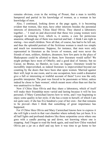remains obvious, even in the writing of Proust, that a man is terribly hampered and partial in his knowledge of women, as a woman in her knowledge of men.

Also, I continued, looking down at the page again, it is becoming evident that women, like men, have other interests besides the perennial interests of domesticity. 'Chloe liked Olivia. They shared a laboratory together… ' I read on and discovered that these two young women were engaged in mincing liver, which is, it seems, a cure for pernicious anaemia; although one of them was married and had—I think I am right in stating—two small children. Now all that, of course, has had to be left out, and thus the splendid portrait of the fictitious woman is much too simple and much too monotonous. Suppose, for instance, that men were only represented in literature as the lovers of women, and were never the friends of men, soldiers, thinkers, dreamers; how few parts in the plays of Shakespeare could be allotted to them; how literature would suffer! We might perhaps have most of Othello; and a good deal of Antony; but no Caesar, no Brutus, no Hamlet, no Lear, no Jaques—literature would be incredibly impoverished, as indeed literature is impoverished beyond our counting by the doors that have been shut upon women. Married against their will, kept in one room, and to one occupation, how could a dramatist give a full or interesting or truthful account of them? Love was the only possible interpreter. The poet was forced to be passionate or bitter, unless indeed he chose to 'hate women', which meant more often than not that he was unattractive to them.

Now if Chloe likes Olivia and they share a laboratory, which of itself will make their friendship more varied and lasting because it will be less personal; if Mary Carmichael knows how to write, and I was beginning to enjoy some quality in her style; if she has a room to herself, of which I am not quite sure; if she has five hundred a year of her own—but that remains to be proved—then I think that something of great importance has happened.

For if Chloe likes Olivia and Mary Carmichael knows how to express it she will light a torch in that vast chamber where nobody has yet been. It is all half lights and profound shadows like those serpentine caves where one goes with a candle peering up and down, not knowing where one is stepping. And I began to read the book again, and read how Chloe watched Olivia put a jar on a shelf and say how it was time to go home to her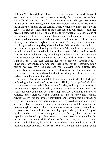children. That is a sight that has never been seen since the world began, I exclaimed. And I watched too, very curiously. For I wanted to see how Mary Carmichael set to work to catch those unrecorded gestures, those unsaid or half-said words, which form themselves, no more palpably than the shadows of moths on the ceiling, when women are alone, unlit by the capricious and coloured light of the other sex. She will need to hold her breath, I said, reading on, if she is to do it; for women are so suspicious of any interest that has not some obvious motive behind it, so terribly accustomed to concealment and suppression, that they are off at the flicker of an eye turned observingly in their direction. The only way for you to do it, I thought, addressing Mary Carmichael as if she were there, would be to talk of something else, looking steadily out of the window, and thus note, not with a pencil in a notebook, but in the shortest of shorthand, in words that are hardly syllabled yet, what happens when Olivia—this organism that has been under the shadow of the rock these million years—feels the light fall on it, and sees coming her way a piece of strange food knowledge, adventure, art. And she reaches out for it, I thought, again raising my eyes from the page, and has to devise some entirely new combination of her resources, so highly developed for other purposes, so as to absorb the new into the old without disturbing the infinitely intricate and elaborate balance of the whole.

But, alas, I had done what I had determined not to do; I had slipped unthinkingly into praise of my own sex. 'Highly developed'—'infinitely intricate'—such are undeniably terms of praise, and to praise one's own sex is always suspect, often silly; moreover, in this case, how could one justify it? One could not go to the map and say Columbus discovered America and Columbus was a woman; or take an apple and remark, Newton discovered the laws of gravitation and Newton was a woman; or look into the sky and say aeroplanes are flying overhead and aeroplanes were invented by women. There is no mark on the wall to measure the precise height of women. There are no yard measures, neatly divided into the fractions of an inch, that one can lay against the qualities of a good mother or the devotion of a daughter, or the fidelity of a sister, or the capacity of a housekeeper. Few women even now have been graded at the universities; the great trials of the professions, army and navy, trade, politics and diplomacy have hardly tested them. They remain even at this moment almost unclassified. But if I want to know all that a human being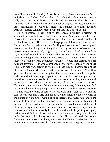can tell me about Sir Hawley Butts, for instance, I have only to open Burke or Debrett and I shall find that he took such and such a degree; owns a hall; has an heir; was Secretary to a Board; represented Great Britain in Canada; and has received a certain number of degrees, offices, medals and other distinctions by which his merits are stamped upon him indelibly. Only Providence can know more about Sir Hawley Butts than that.

When, therefore, I say 'highly developed', 'infinitely intricate' of women, I am unable to verify my words either in Whitaker, Debrett or the University Calendar. In this predicament what can I do? And I looked at the bookcase again. There were the biographies: Johnson and Goethe and Carlyle and Sterne and Cowper and Shelley and Voltaire and Browning and many others. And I began thinking of all those great men who have for one reason or another admired, sought out, lived with, confided in, made love to, written of, trusted in, and shown what can only be described as some need of and dependence upon certain persons of the opposite sex. That all these relationships were absolutely Platonic I would not affirm, and Sir William Joynson Hicks would probably deny. But we should wrong these illustrious men very greatly if we insisted that they got nothing from these alliances but comfort, flattery and the pleasures of the body. What they got, it is obvious, was something that their own sex was unable to supply; and it would not be rash, perhaps, to define it further, without quoting the doubtless rhapsodical words of the poets, as some stimulus; some renewal of creative power which is in the gift only of the opposite sex to bestow. He would open the door of drawing-room or nursery, I thought, and find her among her children perhaps, or with a piece of embroidery on her knee —at any rate, the centre of some different order and system of life, and the contrast between this world and his own, which might be the law courts or the House of Commons, would at once refresh and invigorate; and there would follow, even in the simplest talk, such a natural difference of opinion that the dried ideas in him would be fertilized anew; and the sight of her creating in a different medium from his own would so quicken his creative power that insensibly his sterile mind would begin to plot again, and he would find the phrase or the scene which was lacking when he put on his hat to visit her. Every Johnson has his Thrale, and holds fast to her for some such reasons as these, and when the Thrale marries her Italian music master Johnson goes half mad with rage and disgust, not merely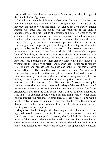that he will miss his pleasant evenings at Streatham, but that the light of his life will be 'as if gone out'.

And without being Dr Johnson or Goethe or Carlyle or Voltaire, one may feel, though very differently from these great men, the nature of this intricacy and the power of this highly developed creative faculty among women. One goes into the room—but the resources of the English language would he much put to the stretch, and whole flights of words would need to wing their way illegitimately into existence before a woman could say what happens when she goes into a room. The rooms differ so completely; they are calm or thunderous; open on to the sea, or, on the contrary, give on to a prison yard; are hung with washing; or alive with opals and silks; are hard as horsehair or soft as feathers—one has only to go into any room in any street for the whole of that extremely complex force of femininity to fly in one's face. How should it be otherwise? For women have sat indoors all these millions of years, so that by this time the very walls are permeated by their creative force, which has, indeed, so overcharged the capacity of bricks and mortar that it must needs harness itself to pens and brushes and business and politics. But this creative power differs greatly from the creative power of men. And one must conclude that it would be a thousand pities if it were hindered or wasted, for it was won by centuries of the most drastic discipline, and there is nothing to take its place. It would be a thousand pities if women wrote like men, or lived like men, or looked like men, for if two sexes are quite inadequate, considering the vastness and variety of the world, how should we manage with one only? Ought not education to bring out and fortify the differences rather than the similarities? For we have too much likeness as it is, and if an explorer should come back and bring word of other sexes looking through the branches of other trees at other skies, nothing would he of greater service to humanity; and we should have the immense pleasure into the bargain of watching Professor X rush for his measuringrods to prove himself 'superior'.

Mary Carmichael, I thought, still hovering at a little distance above the page, will have her work cut out for her merely as an observer. I am afraid indeed that she will be tempted to become, what I think the less interesting branch of the species—the naturalist-novelist, and not the contemplative. There are so many new facts for her to observe. She will not need to limit herself any longer to the respectable houses of the upper middle classes.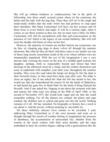She will go without kindness or condescension, but in the spirit of fellowship, into those small, scented rooms where sit the courtesan, the harlot and the lady with the pug dog. There they still sit in the rough and ready-made clothes that the male writer has had perforce to clap upon their shoulders. But Mary Carmichael will have out her scissors and fit them close to every hollow and angle. It will be a curious sight, when it comes, to see these women as they are, but we must wait a little, for Mary Carmichael will still be encumbered with that self-consciousness in the presence of 'sin' which is the legacy of our sexual barbarity. She will still wear the shoddy old fetters of class on her feet.

However, the majority of women are neither harlots nor courtesans; nor do they sit clasping pug dogs to dusty velvet all through the summer afternoon. But what do they do then? and there came to my mind's eye one of those long streets somewhere south of the river whose infinite rows are innumerably populated. With the eye of the imagination I saw a very ancient lady crossing the street on the arm of a middle-aged woman, her daughter, perhaps, both so respectably booted and furred that their dressing in the afternoon must be a ritual, and the clothes themselves put away in cupboards with camphor, year after year, throughout the summer months. They cross the road when the lamps are being lit (for the dusk is their favourite hour), as they must have done year after year. The elder is close on eighty; but if one asked her what her life has meant to her, she would say that she remembered the streets lit for the battle of Balaclava, or had heard the guns fire in Hyde Park for the birth of King Edward the Seventh. And if one asked her, longing to pin down the moment with date and season, but what were you doing on the fifth of April 1868, or the second of November 1875, she would look vague and say that she could remember nothing. For all the dinners are cooked; the plates and cups washed; the children sent to school and gone out into the world. Nothing remains of it all. All has vanished. No biography or history has a word to say about it. And the novels, without meaning to, inevitably lie.

All these infinitely obscure lives remain to be recorded, I said, addressing Mary Carmichael as if she were present; and went on in thought through the streets of London feeling in imagination the pressure of dumbness, the accumulation of unrecorded life, whether from the women at the street corners with their arms akimbo, and the rings embedded in their fat swollen fingers, talking with a gesticulation like the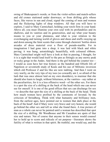swing of Shakespeare's words; or from the violet-sellers and match-sellers and old crones stationed under doorways; or from drifting girls whose faces, like waves in sun and cloud, signal the coming of men and women and the flickering lights of shop windows. All that you will have to explore, I said to Mary Carmichael, holding your torch firm in your hand. Above all, you must illumine your own soul with its profundities and its shallows, and its vanities and its generosities, and say what your beauty means to you or your plainness, and what is your relation to the everchanging and turning world of gloves and shoes and stuffs swaying up and down among the faint scents that come through chemists' bottles down arcades of dress material over a floor of pseudo-marble. For in imagination I had gone into a shop; it was laid with black and white paving; it was hung, astonishingly beautifully, with coloured ribbons. Mary Carmichael might well have a look at that in passing, I thought, for it is a sight that would lend itself to the pen as fittingly as any snowy peak or rocky gorge in the Andes. And there is the girl behind the counter too— I would as soon have her true history as the hundred and fiftieth life of Napoleon or seventieth study of Keats and his use of Miltonic inversion which old Professor Z and his like are now inditing. And then I went on very warily, on the very tips of my toes (so cowardly am I, so afraid of the lash that was once almost laid on my own shoulders), to murmur that she should also learn to laugh, without bitterness, at the vanities—say rather at the peculiarities, for it is a less offensive word—of the other sex. For there is a spot the size of a shilling at the back of the head which one can never see for oneself. It is one of the good offices that sex can discharge for sex —to describe that spot the size of a shilling at the back of the head. Think how much women have profited by the comments of Juvenal; by the criticism of Strindberg. Think with what humanity and brilliancy men, from the earliest ages, have pointed out to women that dark place at the back of the head! And if Mary were very brave and very honest, she would go behind the other sex and tell us what she found there. A true picture of man as a whole can never be painted until a woman has described that spot the size of a shilling. Mr Woodhouse and Mr Casuabon are spots of that size and nature. Not of course that anyone in their senses would counsel her to hold up to scorn and ridicule of set purpose—literature shows the futility of what is written in that spirit. Be truthful, one would say, and the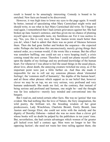result is bound to be amazingly interesting. Comedy is bound to be enriched. New facts are bound to be discovered.

However, it was high time to lower my eyes to the page again. It would be better, instead of speculating what Mary Carmichael might write and should write, to see what in fact Mary Carmichael did write. So I began to read again. I remembered that I had certain grievances against her. She had broken up Jane Austen's sentence, and thus given me no chance of pluming myself upon my impeccable taste, my fastidious ear. For it was useless to say, 'Yes, yes, this is very nice; but Jane Austen wrote much better than you do', when I had to admit that there was no point of likeness between them. Then she had gone further and broken the sequence—the expected order. Perhaps she had done this unconsciously, merely giving things their natural order, as a woman would, if she wrote like a woman. But the effect was somehow baffling; one could not see a wave heaping itself, a crisis coming round the next corner. Therefore I could not plume myself either upon the depths of my feelings and my profound knowledge of the human heart. For whenever I was about to feel the usual things in the usual places, about love, about death, the annoying creature twitched me away, as if the important point were just a little further on. And thus she made it impossible for me to roll out my sonorous phrases about 'elemental feelings', the 'common stuff of humanity', 'the depths of the human heart', and ail those other phrases which support us in our belief that, however clever we may be on top, we are very serious, very profound and very humane underneath. She made me feel, on the contrary, that instead of being serious and profound and humane, one might be—and the thought was far less seductive—merely lazy minded and conventional into the bargain.

But I read on, and noted certain other facts. She was no 'genius' that was evident. She had nothing like the love of Nature, the fiery imagination, the wild poetry, the brilliant wit, the brooding wisdom of her great predecessors, Lady Winchilsea, Charlotte Brontë, Emily Brontë, Jane Austen and George Eliot; she could not write with the melody and the dignity of Dorothy Osborne—indeed she was no more than a clever girl whose books will no doubt be pulped by the publishers in ten years' time. But, nevertheless, she had certain advantages which women of far greater gift lacked even half a century ago. Men were no longer to her 'the opposing faction'; she need not waste her time railing against them; she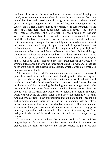need not climb on to the roof and ruin her peace of mind longing for travel, experience and a knowledge of the world and character that were denied her. Fear and hatred were almost gone, or traces of them showed only in a slight exaggeration of the joy of freedom, a tendency to the caustic and satirical, rather than to the romantic, in her treatment of the other sex. Then there could be no doubt that as a novelist she enjoyed some natural advantages of a high order. She had a sensibility that was very wide, eager and free. It responded to an almost imperceptible touch on it. It feasted like a plant newly stood in the air on every sight and sound that came its way. It ranged, too, very subtly and curiously, among almost unknown or unrecorded things; it lighted on small things and showed that perhaps they were not small after all. It brought buried things to light and made one wonder what need there had been to bury them. Awkward though she was and without the unconscious bearing of long descent which makes the least turn of the pen of a Thackeray or a Lamb delightful to the ear, she had—I began to think—mastered the first great lesson; she wrote as a woman, but as a woman who has forgotten that she is a woman, so that her pages were full of that curious sexual quality which comes only when sex is unconscious of itself.

All this was to the good. But no abundance of sensation or fineness of perception would avail unless she could build up out of the fleeting and the personal the lasting edifice which remains unthrown. I had said that I would wait until she faced herself with 'a situation'. And I meant by that until she proved by summoning, beckoning and getting together that she was not a skimmer of surfaces merely, but had looked beneath into the depths. Now is the time, she would say to herself at a certain moment, when without doing anything violent I can show the meaning of all this. And she would begin—how unmistakable that quickening is!—beckoning and summoning, and there would rise up in memory, half forgotten, perhaps quite trivial things in other chapters dropped by the way. And she would make their presence felt while someone sewed or smoked a pipe as naturally as possible, and one would feel, as she went on writing, as if one had gone to the top of the world and seen it laid out, very majestically, beneath.

At any rate, she was making the attempt. And as I watched her lengthening out for the test, I saw, but hoped that she did not see, the bishops and the deans, the doctors and the professors, the patriarchs and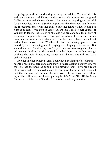the pedagogues all at her shouting warning and advice. You can't do this and you shan't do that! Fellows and scholars only allowed on the grass! Ladies not admitted without a letter of introduction! Aspiring and graceful female novelists this way! So they kept at her like the crowd at a fence on the racecourse, and it was her trial to take her fence without looking to right or to left. If you stop to curse you are lost, I said to her; equally, if you stop to laugh. Hesitate or fumble and you are done for. Think only of the jump, I implored her, as if I had put the whole of my money on her back; and she went over it like a bird. But there was a fence beyond that and a fence beyond that. Whether she had the staying power I was doubtful, for the clapping and the crying were fraying to the nerves. But she did her best. Considering that Mary Carmichael was no genius, but an unknown girl writing her first novel in a bed-sitting-room, without enough of those desirable things, time, money and idleness, she did not do so badly, I thought.

Give her another hundred years, I concluded, reading the last chapter people's noses and bare shoulders showed naked against a starry sky, for someone had twitched the curtain in the drawing-room—give her a room of her own and five hundred a year, let her speak her mind and leave out half that she now puts in, and she will write a better book one of these days. She will be a poet, I said, putting LIFE'S ADVENTURE, by Mary Carmichael, at the end of the shelf, in another hundred years' time.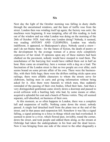Next day the light of the October morning was falling in dusty shafts through the uncurtained windows, and the hum of traffic rose from the street. London then was winding itself up again; the factory was astir; the machines were beginning. It was tempting, after all this reading, to look out of the window and see what London was doing on the morning of the 26th of October 1928. And what was London doing? Nobody, it seemed, was reading ANTONY AND CLEOPATRA. London was wholly indifferent, it appeared, to Shakespeare's plays. Nobody cared a straw and I do not blame them—for the future of fiction, the death of poetry or the development by the average woman of a prose style completely expressive of her mind. If opinions upon any of these matters had been chalked on the pavement, nobody would have stooped to read them. The nonchalance of the hurrying feet would have rubbed them out in half an hour. Here came an errand-boy; here a woman with a dog on a lead. The fascination of the London street is that no two people are ever alike; each seems bound on some private affair of his own. There were the businesslike, with their little bags; there were the drifters rattling sticks upon area railings; there were affable characters to whom the streets serve for clubroom, hailing men in carts and giving information without being asked for it. Also there were funerals to which men, thus suddenly reminded of the passing of their own bodies, lifted their hats. And then a very distinguished gentleman came slowly down a doorstep and paused to avoid collision with a bustling lady who had, by some means or other, acquired a splendid fur coat and a bunch of Parma violets. They all seemed separate, self-absorbed, on business of their own.

At this moment, as so often happens in London, there was a complete lull and suspension of traffic. Nothing came down the street; nobody passed. A single leaf detached itself from the plane tree at the end of the street, and in that pause and suspension fell. Somehow it was like a signal falling, a signal pointing to a force in things which one had overlooked. It seemed to point to a river, which flowed past, invisibly, round the corner, down the street, and took people and eddied them along, as the stream at Oxbridge had taken the undergraduate in his boat and the dead leaves. Now it was bringing from one side of the street to the other diagonally a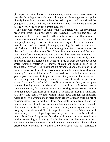girl in patent leather boots, and then a young man in a maroon overcoat; it was also bringing a taxi-cab; and it brought all three together at a point directly beneath my window; where the taxi stopped; and the girl and the young man stopped; and they got into the taxi; and then the cab glided off as if it were swept on by the current elsewhere.

The sight was ordinary enough; what was strange was the rhythmical order with which my imagination had invested it; and the fact that the ordinary sight of two people getting into a cab had the power to communicate something of their own seeming satisfaction. The sight of two people coming down the street and meeting at the corner seems to ease the mind of some strain, I thought, watching the taxi turn and make off. Perhaps to think, as I had been thinking these two days, of one sex as distinct from the other is an effort. It interferes with the unity of the mind. Now that effort had ceased and that unity had been restored by seeing two people come together and get into a taxicab. The mind is certainly a very mysterious organ, I reflected, drawing my head in from the window, about which nothing whatever is known, though we depend upon it so completely. Why do I feel that there are severances and oppositions in the mind, as there are strains from obvious causes on the body? What does one mean by 'the unity of the mind'? I pondered, for clearly the mind has so great a power of concentrating at any point at any moment that it seems to have no single state of being. It can separate itself from the people in the street, for example, and think of itself as apart from them, at an upper window looking down on them. Or it can think with other people spontaneously, as, for instance, in a crowd waiting to hear some piece of news read out. it can think back through its fathers or through its mothers, as I have said that a woman writing thinks back through her mothers. Again if one is a woman one is often surprised by a sudden splitting off of consciousness, say in walking down Whitehall, when from being the natural inheritor of that civilization, she becomes, on the contrary, outside of it, alien and critical. Clearly the mind is always altering its focus, and bringing the world into different perspectives. But some of these states of mind seem, even if adopted spontaneously, to be less comfortable than others. In order to keep oneself continuing in them one is unconsciously holding something back, and gradually the repression becomes an effort. But there may be some state of mind in which one could continue without effort because nothing is required to be held back. And this perhaps, I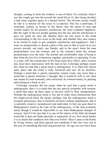thought, coming in from the window, is one of them. For certainly when I saw the couple get into the taxicab the mind felt as if, after being divided, it had come together again in a natural fusion. The obvious reason would be that it is natural for the sexes to co-operate. One has a profound, if irrational, instinct in favour of the theory that the union of man and woman makes for the greatest satisfaction, the most complete happiness. But the sight of the two people getting into the taxi and the satisfaction it gave me made me also ask whether there are two sexes in the mind corresponding to the two sexes in the body, and whether they also require to be united in order to get complete satisfaction and happiness? And I went on amateurishly to sketch a plan of the soul so that in each of us two powers preside, one male, one female; and in the man's brain the man predominates over the woman, and in the woman's brain the woman predominates over the man. The normal and comfortable state of being is that when the two live in harmony together, spiritually co-operating. If one is a man, still the woman part of his brain must have effect; and a woman also must have intercourse with the man in her. Coleridge perhaps meant this when he said that a great mind is androgynous. It is when this fusion takes place that the mind is fully fertilized and uses all its faculties. Perhaps a mind that is purely masculine cannot create, any more than a mind that is purely feminine, I thought. But it would he well to test what one meant by man-womanly, and conversely by woman-manly, by pausing and looking at a book or two.

Coleridge certainly did not mean, when he said that a great mind is androgynous, that it is a mind that has any special sympathy with women; a mind that takes up their cause or devotes itself to their interpretation. Perhaps the androgynous mind is less apt to make these distinctions than the single-sexed mind. He meant, perhaps, that the androgynous mind is resonant and porous; that it transmits emotion without impediment; that it is naturally creative, incandescent and undivided. In fact one goes back to Shakespeare's mind as the type of the androgynous, of the man-womanly mind, though it would be impossible to say what Shakespeare thought of women. And if it be true that it is one of the tokens of the fully developed mind that it does not think specially or separately of sex, how much harder it is to attain that condition now than ever before. Here I came to the books by living writers, and there paused and wondered if this fact were not at the root of something that had long puzzled me. No age can ever have been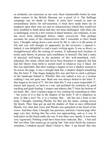as stridently sex-conscious as our own; those innumerable books by men about women in the British Museum are a proof of it. The Suffrage campaign was no doubt to blame. It must have roused in men an extraordinary desire for self-assertion; it must have made them lay an emphasis upon their own sex and its characteristics which they would not have troubled to think about had they not been challenged. And when one is challenged, even by a few women in black bonnets, one retaliates, if one has never been challenged before, rather excessively. That perhaps accounts for some of the characteristics that I remember to have found here, I thought, taking down a new novel by Mr A, who is in the prime of life and very well thought of, apparently, by the reviewers. I opened it. Indeed, it was delightful to read a man's writing again. It was so direct, so straightforward after the writing of women. It indicated such freedom of mind, such liberty of person, such confidence in himself. One had a sense of physical well-being in the presence of this well-nourished, welleducated, free mind, which had never been thwarted or opposed, but had had full liberty from birth to stretch itself in whatever way it liked. All this was admirable. But after reading a chapter or two a shadow seemed to lie across the page. it was a straight dark bar, a shadow shaped something like the letter 'I'. One began dodging this way and that to catch a glimpse of the landscape behind it. Whether that was indeed a tree or a woman walking I was not quite sure. Back one was always hailed to the letter 'I'. One began to be tired of 'I'. Not but what this 'I' was a most respectable 'I'; honest and logical; as hard as a nut, and polished for centuries by good teaching and good feeding. I respect and admire that 'I' from the bottom of my heart. But—here I turned a page or two, looking for something or other —the worst of it is that in the shadow of the letter 'I' all is shapeless as mist. Is that a tree? No, it is a woman. But… she has not a bone in her body, I thought, watching Phoebe, for that was her name, coming across the beach. Then Alan got up and the shadow of Alan at once obliterated Phoebe. For Alan had views and Phoebe was quenched in the flood of his views. And then Alan, I thought, has passions; and here I turned page after page very fast, feeling that the crisis was approaching, and so it was. It took place on the beach under the sun. It was done very openly. It was done very vigorously. Nothing could have been more indecent. But… I had said 'but' too often. One cannot go on saying 'but'. One must finish the sentence somehow, I rebuked myself. Shall I finish it, 'But—I am bored!' But why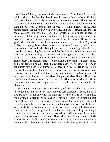was I bored? Partly because of the dominance of the letter 'I' and the aridity, which, like the giant beech tree, it casts within its shade. Nothing will grow there. And partly for some more obscure reason. There seemed to be some obstacle, some impediment in Mr A's mind which blocked the fountain of creative energy and shored it within narrow limits. And remembering the lunch party at Oxbridge, and the cigarette ash and the Manx cat and Tennyson and Christina Rossetti all in a bunch, it seemed possible that the impediment lay there. As he no longer hums under his breath, 'There has fallen a splendid tear from the passion-flower at the gate', when Phoebe crosses the beach, and she no longer replies, 'My heart is like a singing bird whose nest is in a water'd shoot', when Alan approaches what can he do? Being honest as the day and logical as the sun, there is only one thing he can do. And that he does, to do him justice, over and over (I said turning the pages) and over again. And that, I added, aware of the awful nature of the confession, seems somehow dull. Shakespeare's indecency uproots a thousand other things in one's mind, and is far from being dull. But Shakespeare does it for pleasure; Mr A, as the nurses say, does it on purpose. He does it in protest. He is protesting against the equality of the other sex by asserting his own superiority. He is therefore impeded and inhibited and self-conscious as Shakespeare might have been if he too had known Miss Clough and Miss Davies. Doubtless Elizabethan literature would have been very different from what it is if the women's movement had begun in the sixteenth century and not in the nineteenth.

What, then, it amounts to, if this theory of the two sides of the mind holds good, is that virility has now become self-conscious—men, that is to say, are now writing only with the male side of their brains. It is a mistake for a woman to read them, for she will inevitably look for something that she will not find. It is the power of suggestion that one most misses, I thought, taking Mr B the critic in my hand and reading, very carefully and very dutifully, his remarks upon the art of poetry. Very able they were, acute and full of learning; but the trouble was that his feelings no longer communicated; his mind seemed separated into different chambers; not a sound carried from one to the other. Thus, when one takes a sentence of Mr B into the mind it falls plump to the ground—dead; but when one takes a sentence of Coleridge into the mind, it explodes and gives birth to all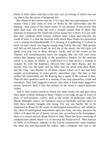kinds of other ideas, and that is the only sort of writing of which one can say that it has the secret of perpetual life.

But whatever the reason may be, it is a fact that one must deplore. For it means—here I had come to rows of books by Mr Galsworthy and Mr Kipling—that some of the finest works of our greatest living writers fall upon deaf ears. Do what she will a woman cannot find in them that fountain of perpetual life which the critics assure her is there. It is not only that they celebrate male virtues, enforce male values and describe the world of men; it is that the emotion with which these books are permeated is to a woman incomprehensible. It is coming, it is gathering, it is about to burst on one's head, one begins saying long before the end. That picture will fall on old Jolyon's head; he will die of the shock; the old clerk will speak over him two or three obituary words; and all the swans on the Thames will simultaneously burst out singing. But one will rush away before that happens and hide in the gooseberry bushes, for the emotion which is so deep, so subtle, so symbolical to a man moves a woman to wonder. So with Mr Kipling's officers who turn their Backs; and his Sowers who sow the Seed; and his Men who are alone with their Work; and the Flag—one blushes at all these capital letters as if one had been caught eavesdropping at some purely masculine orgy. The fact is that neither Mr Galsworthy nor Mr Kipling has a spark of the woman in him. Thus all their qualities seem to a woman, if one may generalize, crude and immature. They lack suggestive power. And when a book lacks suggestive power, however hard it hits the surface of the mind it cannot penetrate within.

And in that restless mood in which one takes books out and puts them back again without looking at them I began to envisage an age to come of pure, of self-assertive virility, such as the letters of professors (take Sir Walter Raleigh's letters, for instance) seem to forebode, and the rulers of Italy have already brought into being. For one can hardly fail to be impressed in Rome by the sense of unmitigated masculinity; and whatever the value of unmitigated masculinity upon the state, one may question the effect of it upon the art of poetry. At any rate, according to the newspapers, there is a certain anxiety about fiction in Italy. There has been a meeting of academicians whose object it is 'to develop the Italian novel'. 'Men famous by birth, or in finance, industry or the Fascist corporations' came together the other day and discussed the matter, and a telegram was sent to the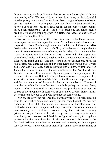Duce expressing the hope 'that the Fascist era would soon give birth to a poet worthy of it'. We may all join in that pious hope, but it is doubtful whether poetry can come of an incubator. Poetry ought to have a mother as well as a father. The Fascist poem, one may fear, will be a horrid little abortion such as one sees in a glass jar in the museum of some county town. Such monsters never live long, it is said; one has never seen a prodigy of that sort cropping grass in a field. Two heads on one body do not make for length of life.

However, the blame for all this, if one is anxious to lay blame, rests no more upon one sex than upon the other. All seducers and reformers are responsible: Lady Bessborough when she lied to Lord Granville; Miss Davies when she told the truth to Mr Greg. All who have brought about a state of sex-consciousness are to blame, and it is they who drive me, when I want to stretch my faculties on a book, to seek it in that happy age, before Miss Davies and Miss Clough were born, when the writer used both sides of his mind equally. One must turn back to Shakespeare then, for Shakespeare was androgynous; and so were Keats and Sterne and Cowper and Lamb and Coleridge. Shelley perhaps was sexless. Milton and Ben Jonson had a dash too much of the male in them. So had Wordsworth and Tolstoi. In our time Proust was wholly androgynous, if not perhaps a little too much of a woman. But that failing is too rare for one to complain of it, since without some mixture of the kind the intellect seems to predominate and the other faculties of the mind harden and become barren. However, I consoled myself with the reflection that this is perhaps a passing phase; much of what I have said in obedience to my promise to give you the course of my thoughts will seem out of date; much of what flames in my eyes will seem dubious to you who have not yet come of age.

Even so, the very first sentence that I would write here, I said, crossing over to the writing-table and taking up the page headed Women and Fiction, is that it is fatal for anyone who writes to think of their sex. It is fatal to be a man or woman pure and simple; one must be woman-manly or man-womanly. It is fatal for a woman to lay the least stress on any grievance; to plead even with justice any cause; in any way to speak consciously as a woman. And fatal is no figure of speech; for anything written with that conscious bias is doomed to death. It ceases to be fertilized. Brilliant and effective, powerful and masterly, as it may appear for a day or two, it must wither at nightfall; it cannot grow in the minds of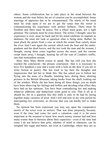others. Some collaboration has to take place in the mind between the woman and the man before the art of creation can be accomplished. Some marriage of opposites has to be consummated. The whole of the mind must lie wide open if we are to get the sense that the writer is communicating his experience with perfect fullness. There must be freedom and there must be peace. Not a wheel must grate, not a light glimmer. The curtains must be close drawn. The writer, I thought, once his experience is over, must lie back and let his mind celebrate its nuptials in darkness. He must not look or question what is being done. Rather, he must pluck the petals from a rose or watch the swans float calmly down the river. And I saw again the current which took the boat and the undergraduate and the dead leaves; and the taxi took the man and the woman, I thought, seeing them come together across the street, and the current swept them away, I thought, hearing far off the roar of London's traffic, into that tremendous stream.

Here, then, Mary Beton ceases to speak. She has told you how she reached the conclusion—the prosaic conclusion—that it is necessary to have five hundred a year and a room with a lock on the door if you are to write fiction or poetry. She has tried to lay bare the thoughts and impressions that led her to think this. She has asked you to follow her flying into the arms of a Beadle, lunching here, dining there, drawing pictures in the British Museum, taking books from the shelf, looking out of the window. While she has been doing all these things, you no doubt have been observing her failings and foibles and deciding what effect they have had on her opinions. You have been contradicting her and making whatever additions and deductions seem good to you. That is all as it should be, for in a question like this truth is only to be had by laying together many varieties of error. And I will end now in my own person by anticipating two criticisms, so obvious that you can hardly fail to make them.

No opinion has been expressed, you may say, upon the comparative merits of the sexes even as writers. That was done purposely, because, even if the time had come for such a valuation—and it is far more important at the moment to know how much money women had and how many rooms than to theorize about their capacities—even if the time had come I do not believe that gifts, whether of mind or character, can be weighed like sugar and butter, not even in Cambridge, where they are so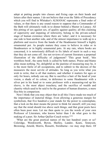adept at putting people into classes and fixing caps on their heads and letters after their names. I do not believe that even the Table of Precedency which you will find in Whitaker's ALMANAC represents a final order of values, or that there is any sound reason to suppose that a Commander of the Bath will ultimately walk in to dinner behind a Master in Lunacy. All this pitting of sex against sex, of quality against quality; all this claiming of superiority and imputing of inferiority, belong to the private-school stage of human existence where there are 'sides', and it is necessary for one side to beat another side, and of the utmost importance to walk up to a platform and receive from the hands of the Headmaster himself a highly ornamental pot. As people mature they cease to believe in sides or in Headmasters or in highly ornamental pots. At any rate, where books are concerned, it is notoriously difficult to fix labels of merit in such a way that they do not come off. Are not reviews of current literature a perpetual illustration of the difficulty of judgement? 'This great book', 'this worthless book', the same book is called by both names. Praise and blame alike mean nothing. No, delightful as the pastime of measuring may be, it is the most futile of all occupations, and to submit to the decrees of the measurers the most servile of attitudes. So long as you write what you wish to write, that is all that matters; and whether it matters for ages or only for hours, nobody can say. But to sacrifice a hair of the head of your vision, a shade of its colour, in deference to some Headmaster with a silver pot in his hand or to some professor with a measuring-rod up his sleeve, is the most abject treachery, and the sacrifice of wealth and chastity which used to be said to be the greatest of human disasters, a mere flea-bite in comparison.

Next I think that you may object that in all this I have made too much of the importance of material things. Even allowing a generous margin for symbolism, that five hundred a year stands for the power to contemplate, that a lock on the door means the power to think for oneself, still you may say that the mind should rise above such things; and that great poets have often been poor men. Let me then quote to you the words of your own Professor of Literature, who knows better than I do what goes to the making of a poet. Sir Arthur Quiller-Couch writes:<sup>'[\[10\]](#page-88-0)</sup>

<span id="page-80-0"></span>'What are the great poetical names of the last hundred years or so? Coleridge, Wordsworth, Byron, Shelley, Landor, Keats, Tennyson, Browning, Arnold, Morris, Rossetti, Swinburne—we may stop there. Of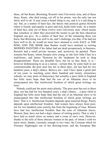these, all but Keats, Browning, Rossetti were University men, and of these three, Keats, who died young, cut off in his prime, was the only one not fairly well to do. It may seem a brutal thing to say, and it is a sad thing to say: but, as a matter of hard fact, the theory that poetical genius bloweth where it listeth, and equally in poor and rich, holds little truth. As a matter of hard fact, nine out of those twelve were University men: which means that somehow or other they procured the means to get the best education England can give. As a matter of hard fact, of the remaining three you know that Browning was well to do, and I challenge you that, if he had not been well to do, he would no more have attained to write SAUL or THE RING AND THE BOOK than Ruskin would have attained to writing MODERN PAINTERS if his father had not dealt prosperously in business. Rossetti had a small private income; and, moreover, he painted. There remains but Keats; whom Atropos slew young, as she slew John Clare in a mad-house, and James Thomson by the laudanum he took to drug disappointment. These are dreadful facts, but let us face them. It is however dishonouring to us as a nation—certain that, by some fault in our commonwealth, the poor poet has not in these days, nor has had for two hundred years, a dog's chance. Believe me—and I have spent a great part of ten years in watching some three hundred and twenty elementary schools, we may prate of democracy, but actually, a poor child in England has little more hope than had the son of an Athenian slave to be emancipated into that intellectual freedom of which great writings are born.'

Nobody could put the point more plainly. 'The poor poet has not in these days, nor has had for two hundred years, a dog's chance… a poor child in England has little more hope than had the son of an Athenian slave to be emancipated into that intellectual freedom of which great writings are born.' That is it. Intellectual freedom depends upon material things. Poetry depends upon intellectual freedom. And women have always been poor, not for two hundred years merely, but from the beginning of time. Women have had less intellectual freedom than the sons of Athenian slaves. Women, then, have not had a dog's chance of writing poetry. That is why I have laid so much stress on money and a room of one's own. However, thanks to the toils of those obscure women in the past, of whom I wish we knew more, thanks, curiously enough to two wars, the Crimean which let Florence Nightingale out of her drawing-room, and the European War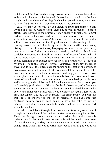which opened the doors to the average woman some sixty years later, these evils are in the way to be bettered. Otherwise you would not be here tonight, and your chance of earning five hundred pounds a year, precarious as I am afraid that it still is, would be minute in the extreme.

Still, you may object, why do you attach so much importance to this writing of books by women when, according to you, it requires so much effort, leads perhaps to the murder of one's aunts, will make one almost certainly late for luncheon, and may bring one into very grave disputes with certain very good fellows? My motives, let me admit, are partly selfish. Like most uneducated Englishwomen, I like reading—I like reading books in the bulk. Lately my diet has become a trifle monotonous; history is too much about wars; biography too much about great men; poetry has shown, I think, a tendency to sterility, and fiction but I have sufficiently exposed my disabilities as a critic of modern fiction and will say no more about it. Therefore I would ask you to write all kinds of books, hesitating at no subject however trivial or however vast. By hook or by crook, I hope that you will possess yourselves of money enough to travel and to idle, to contemplate the future or the past of the world, to dream over books and loiter at street corners and let the line of thought dip deep into the stream. For I am by no means confining you to fiction. If you would please me—and there are thousands like me—you would write books of travel and adventure, and research and scholarship, and history and biography, and criticism and philosophy and science. By so doing you will certainly profit the art of fiction. For books have a way of influencing each other. Fiction will be much the better for standing cheek by jowl with poetry and philosophy. Moreover, if you consider any great figure of the past, like Sappho, like the Lady Murasaki, like Emily Brontë, you will find that she is an inheritor as well as an originator, and has come into existence because women have come to have the habit of writing naturally; so that even as a prelude to poetry such activity on your part would be invaluable.

But when I look back through these notes and criticize my own train of thought as I made them, I find that my motives were not altogether selfish. There runs through these comments and discursions the conviction—or is it the instinct?—that good books are desirable and that good writers, even if they show every variety of human depravity, are still good human beings. Thus when I ask you to write more books I am urging you to do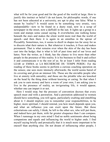what will be for your good and for the good of the world at large. How to justify this instinct or belief I do not know, for philosophic words, if one has not been educated at a university, are apt to play one false. What is meant by 'reality'? It would seem to be something very erratic, very undependable—now to be found in a dusty road, now in a scrap of newspaper in the street, now a daffodil in the sun. It lights up a group in a room and stamps some casual saying. It overwhelms one walking home beneath the stars and makes the silent world more real than the world of speech—and then there it is again in an omnibus in the uproar of Piccadilly. Sometimes, too, it seems to dwell in shapes too far away for us to discern what their nature is. But whatever it touches, it fixes and makes permanent. That is what remains over when the skin of the day has been cast into the hedge; that is what is left of past time and of our loves and hates. Now the writer, as I think, has the chance to live more than other people in the presence of this reality. It is his business to find it and collect it and communicate it to the rest of us. So at least I infer from reading LEAR or EMMA or LA RECHERCHE DU TEMPS PERDU. For the reading of these books seems to perform a curious couching operation on the senses; one sees more intensely afterwards; the world seems bared of its covering and given an intenser life. Those are the enviable people who live at enmity with unreality; and those are the pitiable who are knocked on the head by the thing done without knowing or caring. So that when I ask you to earn money and have a room of your own, I am asking you to live in the presence of reality, an invigorating life, it would appear, whether one can impart it or not.

Here I would stop, but the pressure of convention decrees that every speech must end with a peroration. And a peroration addressed to women should have something, you will agree, particularly exalting and ennobling about it. I should implore you to remember your responsibilities, to be higher, more spiritual; I should remind, you how much depends upon you, and what an influence you can exert upon the future. But those exhortations can safely, I think, be left to the other sex, who will put them, and indeed have put them, with far greater eloquence than I can compass. When I rummage in my own mind I find no noble sentiments about being companions and equals and influencing the world to higher ends. I find myself saying briefly and prosaically that it is much more important to be oneself than anything else. Do not dream of influencing other people, I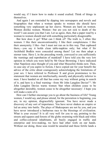would say, if I knew how to make it sound exalted. Think of things in themselves.

And again I am reminded by dipping into newspapers and novels and biographies that when a woman speaks to women she should have something very unpleasant up her sleeve. Women are hard on women. Women dislike women. Women—but are you not sick to death of the word? I can assure you that I am. Let us agree, then, that a paper read by a woman to women should end with something particularly disagreeable.

But how does it go? What can I think of? The truth is, I often like women. I like their unconventionality. I like their completeness. I like their anonymity. I like—but I must not run on in this way. That cupboard there,—you say it holds clean table-napkins only; but what if Sir Archibald Bodkin were concealed among them? Let me then adopt a sterner tone. Have I, in the preceding words, conveyed to you sufficiently the warnings and reprobation of mankind? I have told you the very low opinion in which you were held by Mr Oscar Browning. I have indicated what Napoleon once thought of you and what Mussolini thinks now. Then, in case any of you aspire to fiction, I have copied out for your benefit the advice of the critic about courageously acknowledging the limitations of your sex. I have referred to Professor X and given prominence to his statement that women are intellectually, morally and physically inferior to men. I have handed on all that has come my way without going in search of it, and here is a final warning—from Mr John Langdon Davies<sup>[\[11\]](#page-88-1)</sup>. Mr John Langdon Davies warns women 'that when children cease to be altogether desirable, women cease to be altogether necessary'. I hope you will make a note of it.

<span id="page-84-0"></span>How can I further encourage you to go about the business of life? Young women, I would say, and please attend, for the peroration is beginning, you are, in my opinion, disgracefully ignorant. You have never made a discovery of any sort of importance. You have never shaken an empire or led an army into battle. The plays of Shakespeare are not by you, and you have never introduced a barbarous race to the blessings of civilization. What is your excuse? It is all very well for you to say, pointing to the streets and squares and forests of the globe swarming with black and white and coffee-coloured inhabitants, all busily engaged in traffic and enterprise and love-making, we have had other work on our hands. Without our doing, those seas would be unsailed and those fertile lands a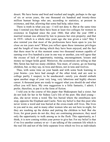desert. We have borne and bred and washed and taught, perhaps to the age of six or seven years, the one thousand six hundred and twenty-three million human beings who are, according to statistics, at present in existence, and that, allowing that some had help, takes time.

There is truth in what you say—I will not deny it. But at the same time may I remind you that there have been at least two colleges for women in existence in England since the year 1866; that after the year 1880 a married woman was allowed by law to possess her own property; and that in 1919—which is a whole nine years ago she was given a vote? May I also remind you that most of the professions have been open to you for close on ten years now? When you reflect upon these immense privileges and the length of time during which they have been enjoyed, and the fact that there must be at this moment some two thousand women capable of earning over five hundred a year in one way or another, you will agree that the excuse of lack of opportunity, training, encouragement, leisure and money no longer holds good. Moreover, the economists are telling us that Mrs Seton has had too many children. You must, of course, go on bearing children, but, so they say, in twos and threes, not in tens and twelves.

Thus, with some time on your hands and with some book learning in your brains—you have had enough of the other kind, and are sent to college partly, I suspect, to be uneducated—surely you should embark upon another stage of your very long, very laborious and highly obscure career. A thousand pens are ready to suggest what you should do and what effect you will have. My own suggestion is a little fantastic, I admit; I prefer, therefore, to put it in the form of fiction.

I told you in the course of this paper that Shakespeare had a sister; but do not look for her in Sir Sidney Lee's life of the poet. She died young alas, she never wrote a word. She lies buried where the omnibuses now stop, opposite the Elephant and Castle. Now my belief is that this poet who never wrote a word and was buried at the cross-roads still lives. She lives in you and in me, and in many other women who are not here to-night, for they are washing up the dishes and putting the children to bed. But she lives; for great poets do not die; they are continuing presences; they need only the opportunity to walk among us in the flesh. This opportunity, as I think, it is now coming within your power to give her. For my belief is that if we live another century or so—I am talking of the common life which is the real life and not of the little separate lives which we live as individuals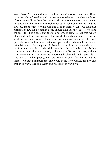—and have five hundred a year each of us and rooms of our own; if we have the habit of freedom and the courage to write exactly what we think; if we escape a little from the common sitting-room and see human beings not always in their relation to each other but in relation to reality; and the sky, too, and the trees or whatever it may be in themselves; if we look past Milton's bogey, for no human being should shut out the view; if we face the fact, for it is a fact, that there is no arm to cling to, but that we go alone and that our relation is to the world of reality and not only to the world of men and women, then the opportunity will come and the dead poet who was Shakespeare's sister will put on the body which she has so often laid down. Drawing her life from the lives of the unknown who were her forerunners, as her brother did before her, she will be born. As for her coming without that preparation, without that effort on our part, without that determination that when she is born again she shall find it possible to live and write her poetry, that we cannot expect, for that would he impossible. But I maintain that she would come if we worked for her, and that so to work, even in poverty and obscurity, is worth while.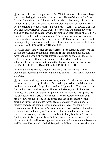[\[1\]](#page-16-0) We are told that we ought to ask for £30,000 at least... It is not a large sum, considering that there is to be but one college of this sort for Great Britain, Ireland and the Colonies, and considering how easy it is to raise immense sums for boys' schools. But considering how few people really wish women to be educated, it is a good deal.'—LADY STEPHEN, EMILY DAVIES AND GIRTON COLLEGE.] So obviously we cannot have wine and partridges and servants carrying tin dishes on their heads, she said. We cannot have sofas and separate rooms. 'The amenities,' she said, quoting from some book or other, 'will have to wait.' [\* Every penny which could be scraped together was set aside for building, and the amenities had to be postponed.—R. STRACHEY, THE CAUSE.

[\[2\]](#page-23-0) "Men know that women are an overmatch for them, and therefore they choose the weakest or the most ignorant. If they did not think so, they never could be afraid of women knowing as much as themselves."… In justice to the sex, I think it but candid to acknowledge that, in a subsequent conversation, he told me that he was serious in what he said.'— BOSWELL, THE JOURNAL OF A TOUR TO THE HEBRIDES.

[\[3\]](#page-23-1) The ancient Germans believed that there was something holy in women, and accordingly consulted them as oracles.'—FRAZER, GOLDEN BOUGH.

[\[4\]](#page-33-0) 'It remains a strange and almost inexplicable fact that in Athena's city, where women were kept in almost Oriental suppression as odalisques or drudges, the stage should yet have produced figures like Clytemnestra and Cassandra Atossa and Antigone, Phedre and Medea, and all the other heroines who dominate play after play of the "misogynist" Euripides. But the paradox of this world where in real life a respectable woman could hardly show her face alone in the street, and yet on the stage woman equals or surpasses man, has never been satisfactorily explained. In modern tragedy the same predominance exists. At all events, a very cursory survey of Shakespeare's work (similarly with Webster, though not with Marlowe or Jonson) suffices to reveal how this dominance, this initiative of women, persists from Rosalind to Lady Macbeth. So too in Racine; six of his tragedies bear their heroines' names; and what male characters of his shall we set against Hermione and Andromaque, Berenice and Roxane, Phedre and Athalie? So again with Ibsen; what men shall we